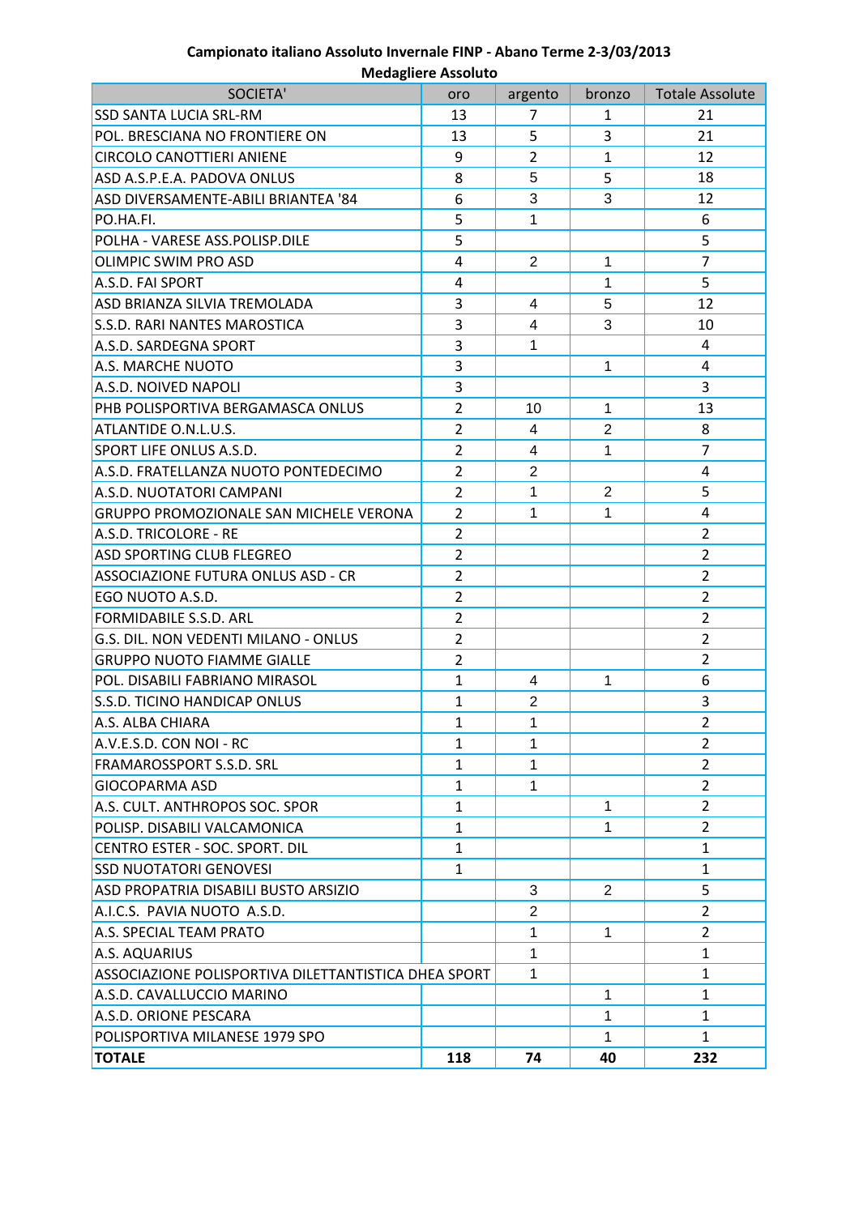| Campionato italiano Assoluto Invernale FINP - Abano Terme 2-3/03/2013 |
|-----------------------------------------------------------------------|
| <b>Medagliere Assoluto</b>                                            |

| SOCIETA'                                             | oro            | argento        | bronzo         | <b>Totale Assolute</b> |
|------------------------------------------------------|----------------|----------------|----------------|------------------------|
| SSD SANTA LUCIA SRL-RM                               | 13             | 7              | 1              | 21                     |
| POL. BRESCIANA NO FRONTIERE ON                       | 13             | 5              | 3              | 21                     |
| <b>CIRCOLO CANOTTIERI ANIENE</b>                     | 9              | $\overline{2}$ | 1              | 12                     |
| ASD A.S.P.E.A. PADOVA ONLUS                          | 8              | 5              | 5              | 18                     |
| ASD DIVERSAMENTE-ABILI BRIANTEA '84                  | 6              | 3              | 3              | 12                     |
| PO.HA.FI.                                            | 5              | 1              |                | 6                      |
| POLHA - VARESE ASS.POLISP.DILE                       | 5              |                |                | 5                      |
| <b>OLIMPIC SWIM PRO ASD</b>                          | 4              | 2              | 1              | $\overline{7}$         |
| A.S.D. FAI SPORT                                     | 4              |                | 1              | 5                      |
| ASD BRIANZA SILVIA TREMOLADA                         | 3              | 4              | 5              | 12                     |
| S.S.D. RARI NANTES MAROSTICA                         | 3              | $\overline{4}$ | 3              | 10                     |
| A.S.D. SARDEGNA SPORT                                | 3              | 1              |                | 4                      |
| A.S. MARCHE NUOTO                                    | 3              |                | 1              | 4                      |
| A.S.D. NOIVED NAPOLI                                 | 3              |                |                | 3                      |
| PHB POLISPORTIVA BERGAMASCA ONLUS                    | $\overline{2}$ | 10             | 1              | 13                     |
| ATLANTIDE O.N.L.U.S.                                 | $\overline{2}$ | 4              | $\overline{2}$ | 8                      |
| <b>SPORT LIFE ONLUS A.S.D.</b>                       | $\overline{2}$ | $\overline{4}$ | 1              | $\overline{7}$         |
| A.S.D. FRATELLANZA NUOTO PONTEDECIMO                 | $\overline{2}$ | $\overline{2}$ |                | 4                      |
| A.S.D. NUOTATORI CAMPANI                             | $\overline{2}$ | 1              | $\overline{2}$ | 5                      |
| <b>GRUPPO PROMOZIONALE SAN MICHELE VERONA</b>        | $\overline{2}$ | 1              | 1              | 4                      |
| A.S.D. TRICOLORE - RE                                | 2              |                |                | $\overline{2}$         |
| <b>ASD SPORTING CLUB FLEGREO</b>                     | $\overline{2}$ |                |                | $\overline{2}$         |
| ASSOCIAZIONE FUTURA ONLUS ASD - CR                   | $\overline{2}$ |                |                | $\overline{2}$         |
| EGO NUOTO A.S.D.                                     | $\overline{2}$ |                |                | $\overline{2}$         |
| <b>FORMIDABILE S.S.D. ARL</b>                        | $\overline{2}$ |                |                | $\overline{2}$         |
| G.S. DIL. NON VEDENTI MILANO - ONLUS                 | $\overline{2}$ |                |                | $\overline{2}$         |
| <b>GRUPPO NUOTO FIAMME GIALLE</b>                    | 2              |                |                | $\overline{2}$         |
| POL. DISABILI FABRIANO MIRASOL                       | 1              | 4              | 1              | 6                      |
| <b>S.S.D. TICINO HANDICAP ONLUS</b>                  | $\mathbf{1}$   | $\overline{2}$ |                | 3                      |
| A.S. ALBA CHIARA                                     | $\mathbf{1}$   | 1              |                | $\overline{2}$         |
| A.V.E.S.D. CON NOI - RC                              | $\mathbf{1}$   | 1              |                | $\overline{2}$         |
| <b>FRAMAROSSPORT S.S.D. SRL</b>                      | $\mathbf{1}$   | 1              |                | $\overline{2}$         |
| GIOCOPARMA ASD                                       | 1              | 1              |                | 2                      |
| A.S. CULT. ANTHROPOS SOC. SPOR                       | $\mathbf{1}$   |                | 1              | $\overline{2}$         |
| POLISP. DISABILI VALCAMONICA                         | $\mathbf{1}$   |                | 1              | $\overline{2}$         |
| CENTRO ESTER - SOC. SPORT. DIL                       | 1              |                |                | $\mathbf{1}$           |
| <b>SSD NUOTATORI GENOVESI</b>                        | $\mathbf{1}$   |                |                | $\mathbf{1}$           |
| <b>ASD PROPATRIA DISABILI BUSTO ARSIZIO</b>          |                | 3              | $\overline{2}$ | 5                      |
| A.I.C.S. PAVIA NUOTO A.S.D.                          |                | $\overline{2}$ |                | $\overline{2}$         |
| A.S. SPECIAL TEAM PRATO                              |                | 1              | 1              | $\overline{2}$         |
| A.S. AQUARIUS                                        |                | 1              |                | $\mathbf{1}$           |
| ASSOCIAZIONE POLISPORTIVA DILETTANTISTICA DHEA SPORT |                | 1              |                | $\mathbf{1}$           |
| A.S.D. CAVALLUCCIO MARINO                            |                |                | 1              | $\mathbf{1}$           |
| A.S.D. ORIONE PESCARA                                |                |                | 1              | $\mathbf{1}$           |
| POLISPORTIVA MILANESE 1979 SPO                       |                |                | 1              | 1                      |
| <b>TOTALE</b>                                        | 118            | 74             | 40             | 232                    |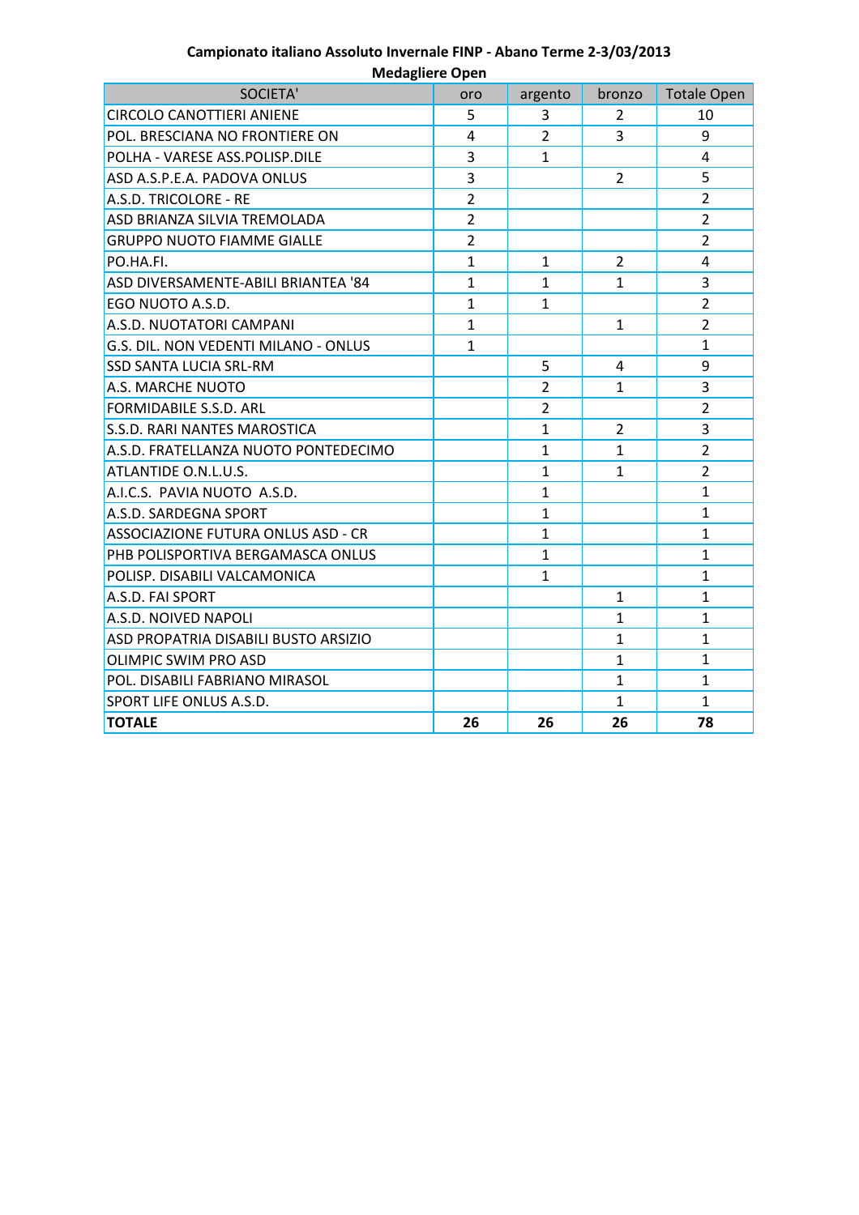| Campionato italiano Assoluto Invernale FINP - Abano Terme 2-3/03/2013 |
|-----------------------------------------------------------------------|
| <b>Medagliere Open</b>                                                |

| SOCIETA'                             | oro            | argento        | bronzo         | <b>Totale Open</b> |
|--------------------------------------|----------------|----------------|----------------|--------------------|
| <b>CIRCOLO CANOTTIERI ANIENE</b>     | 5              | 3              | 2              | 10                 |
| POL. BRESCIANA NO FRONTIERE ON       | 4              | $\overline{2}$ | 3              | 9                  |
| POLHA - VARESE ASS.POLISP.DILE       | 3              | $\mathbf{1}$   |                | 4                  |
| ASD A.S.P.E.A. PADOVA ONLUS          | 3              |                | $\overline{2}$ | 5                  |
| A.S.D. TRICOLORE - RE                | $\overline{2}$ |                |                | $\overline{2}$     |
| ASD BRIANZA SILVIA TREMOLADA         | $\overline{2}$ |                |                | $\overline{2}$     |
| <b>GRUPPO NUOTO FIAMME GIALLE</b>    | $\overline{2}$ |                |                | $\overline{2}$     |
| PO.HA.FI.                            | $\mathbf{1}$   | $\mathbf{1}$   | 2              | 4                  |
| ASD DIVERSAMENTE-ABILI BRIANTEA '84  | $\mathbf{1}$   | 1              | 1              | 3                  |
| EGO NUOTO A.S.D.                     | $\mathbf{1}$   | $\mathbf{1}$   |                | $\overline{2}$     |
| A.S.D. NUOTATORI CAMPANI             | $\mathbf{1}$   |                | $\mathbf{1}$   | $\overline{2}$     |
| G.S. DIL. NON VEDENTI MILANO - ONLUS | $\mathbf{1}$   |                |                | $\mathbf{1}$       |
| <b>SSD SANTA LUCIA SRL-RM</b>        |                | 5              | 4              | 9                  |
| A.S. MARCHE NUOTO                    |                | $\overline{2}$ | 1              | 3                  |
| <b>FORMIDABILE S.S.D. ARL</b>        |                | $\overline{2}$ |                | $\overline{2}$     |
| S.S.D. RARI NANTES MAROSTICA         |                | $\mathbf{1}$   | $\overline{2}$ | 3                  |
| A.S.D. FRATELLANZA NUOTO PONTEDECIMO |                | $\mathbf{1}$   | $\mathbf{1}$   | $\overline{2}$     |
| ATLANTIDE O.N.L.U.S.                 |                | $\mathbf{1}$   | $\mathbf{1}$   | $\overline{2}$     |
| A.I.C.S. PAVIA NUOTO A.S.D.          |                | $\mathbf{1}$   |                | $\mathbf{1}$       |
| A.S.D. SARDEGNA SPORT                |                | $\mathbf{1}$   |                | $\mathbf{1}$       |
| ASSOCIAZIONE FUTURA ONLUS ASD - CR   |                | $\mathbf{1}$   |                | $\mathbf{1}$       |
| PHB POLISPORTIVA BERGAMASCA ONLUS    |                | $\mathbf{1}$   |                | $\mathbf{1}$       |
| POLISP. DISABILI VALCAMONICA         |                | $\mathbf{1}$   |                | $\mathbf{1}$       |
| A.S.D. FAI SPORT                     |                |                | 1              | $\mathbf{1}$       |
| A.S.D. NOIVED NAPOLI                 |                |                | 1              | $\mathbf{1}$       |
| ASD PROPATRIA DISABILI BUSTO ARSIZIO |                |                | $\mathbf{1}$   | $\mathbf{1}$       |
| <b>OLIMPIC SWIM PRO ASD</b>          |                |                | 1              | $\mathbf{1}$       |
| POL. DISABILI FABRIANO MIRASOL       |                |                | $\mathbf{1}$   | $\mathbf{1}$       |
| SPORT LIFE ONLUS A.S.D.              |                |                | 1              | $\mathbf{1}$       |
| <b>TOTALE</b>                        | 26             | 26             | 26             | 78                 |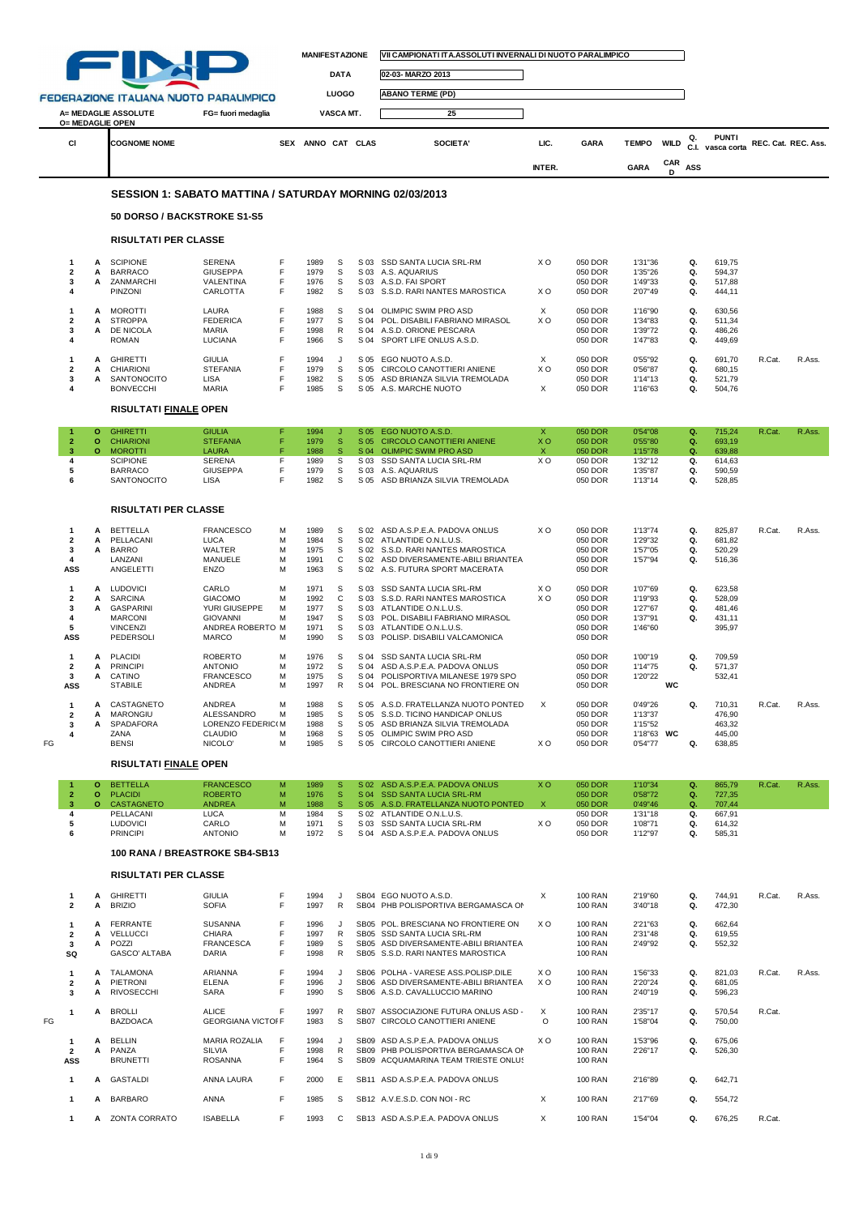

┑

 $\Box$ 



**LUOGO ABANO TERME (PD)**

**DATA 02-03- MARZO 2013**

**A= MEDAGLIE ASSOLUTE FG= fuori medaglia VASCA MT. 25 O= MEDAGLIE OPEN**

|           | SESSION 1: SABATO MATTINA / SATURDAY MORNING 02/03/2013 |            |               |  |                 |        |             |              |             |                             |                     |  |
|-----------|---------------------------------------------------------|------------|---------------|--|-----------------|--------|-------------|--------------|-------------|-----------------------------|---------------------|--|
|           |                                                         |            |               |  |                 | INTER. |             | GARA         | $CAR$ ASS   |                             |                     |  |
| <b>CI</b> | <b>COGNOME NOME</b>                                     | <b>SEX</b> | ANNO CAT CLAS |  | <b>SOCIETA'</b> | LIC.   | <b>GARA</b> | <b>TEMPO</b> | WILD $\sum$ | <b>PUNTI</b><br>vasca corta | REC. Cat. REC. Ass. |  |

## **50 DORSO / BACKSTROKE S1-S5**

#### **RISULTATI PER CLASSE**

| 1<br>$\mathbf{2}$<br>3<br>4 | A<br>А<br>А | <b>SCIPIONE</b><br><b>BARRACO</b><br>ZANMARCHI<br>PINZONI              | <b>SERENA</b><br>GIUSEPPA<br>VALENTINA<br>CARLOTTA         | F. | 1989<br>1979<br>1976<br>1982 | S<br>S<br>S<br>S | S 03<br>S 03<br>S 03<br>S 03 | SSD SANTA LUCIA SRL-RM<br>A.S. AQUARIUS<br>A.S.D. FAI SPORT<br>S.S.D. RARI NANTES MAROSTICA                | X O<br>X O                        | 050 DOR<br>050 DOR<br>050 DOR<br>050 DOR | 1'31"36<br>1'35"26<br>1'49"33<br>2'07"49 | Q.<br>Q.<br>Q.<br>Q. | 619.75<br>594.37<br>517.88<br>444,11 |        |        |
|-----------------------------|-------------|------------------------------------------------------------------------|------------------------------------------------------------|----|------------------------------|------------------|------------------------------|------------------------------------------------------------------------------------------------------------|-----------------------------------|------------------------------------------|------------------------------------------|----------------------|--------------------------------------|--------|--------|
| $\mathbf{2}$<br>3<br>4      | A<br>А<br>А | <b>MOROTTI</b><br><b>STROPPA</b><br>DE NICOLA<br><b>ROMAN</b>          | LAURA<br><b>FEDERICA</b><br><b>MARIA</b><br><b>LUCIANA</b> |    | 1988<br>1977<br>1998<br>1966 | S<br>R<br>S      | S 04<br>S 04<br>S 04<br>S 04 | OLIMPIC SWIM PRO ASD<br>POL. DISABILI FABRIANO MIRASOL<br>A.S.D. ORIONE PESCARA<br>SPORT LIFE ONLUS A.S.D. | $\lambda$<br>X O                  | 050 DOR<br>050 DOR<br>050 DOR<br>050 DOR | 1'16"90<br>1'34"83<br>1'39"72<br>1'47"83 | Q.<br>Q.<br>Q.<br>Q. | 630.56<br>511.34<br>486.26<br>449.69 |        |        |
| $\mathbf{2}$<br>3<br>4      | A<br>А<br>А | <b>GHIRETTI</b><br>CHIARIONI<br><b>SANTONOCITO</b><br><b>BONVECCHI</b> | GIULIA<br><b>STEFANIA</b><br><b>LISA</b><br><b>MARIA</b>   | Е  | 1994<br>1979<br>1982<br>1985 | S<br>S<br>S      | S 05<br>S 05<br>S 05<br>S 05 | EGO NUOTO A.S.D.<br>CIRCOLO CANOTTIERI ANIENE<br>ASD BRIANZA SILVIA TREMOLADA<br>A.S. MARCHE NUOTO         | $\lambda$<br>л.<br>X <sub>O</sub> | 050 DOR<br>050 DOR<br>050 DOR<br>050 DOR | 0'55"92<br>0'56"87<br>1'14"13<br>1'16"63 | Q.<br>Q.<br>Q.<br>Q. | 691.70<br>680.15<br>521.79<br>504,76 | R.Cat. | R.Ass. |

#### **RISULTATI FINALE OPEN**

| <b>GIULIA</b><br><b>GHIRETTI</b><br>o.    | 1994 |      | S 05 EGO NUOTO A.S.D.        |    | 050 DOR | 0'54"08 | 715.24 | R.Cat. | R.Ass. |
|-------------------------------------------|------|------|------------------------------|----|---------|---------|--------|--------|--------|
| <b>STEFANIA</b><br><b>CHIARIONI</b><br>o. | 1979 | S 05 | CIRCOLO CANOTTIERI ANIENE    | ΧO | 050 DOR | 0'55"80 | 693.19 |        |        |
| <b>LAURA</b><br><b>MOROTTI</b>            | 1988 | S 04 | OLIMPIC SWIM PRO ASD         |    | 050 DOR | 1'15"78 | 639.88 |        |        |
| <b>SCIPIONE</b><br><b>SERENA</b>          | 1989 |      | S 03 SSD SANTA LUCIA SRL-RM  | xο | 050 DOR | 1'32"12 | 614.63 |        |        |
| <b>BARRACO</b><br><b>GIUSEPPA</b>         | 1979 |      | S 03 A.S. AQUARIUS           |    | 050 DOR | 1'35"87 | 590.59 |        |        |
| <b>SANTONOCITO</b><br>LISA<br>6.          | 1982 | S 05 | ASD BRIANZA SILVIA TREMOLADA |    | 050 DOR | 1'13"14 | 528.85 |        |        |

#### **RISULTATI PER CLASSE**

| 3              | A<br>A<br>А | BETTELLA<br>PELLACANI<br><b>BARRO</b><br>LANZANI | <b>FRANCESCO</b><br><b>LUCA</b><br><b>WALTER</b><br>MANUELE | м<br>м<br>м<br>м | 1989<br>1984<br>1975<br>1991 | <b>S</b><br>S<br>s<br>C | S 02<br>S 02<br>S 02 | ASD A.S.P.E.A. PADOVA ONLUS<br>S 02 ATLANTIDE O.N.L.U.S.<br>S.S.D. RARI NANTES MAROSTICA<br>ASD DIVERSAMENTE-ABILI BRIANTEA | X <sub>O</sub> | 050 DOR<br>050 DOR<br>050 DOR<br>050 DOR | 1'13"74<br>1'29"32<br>1'57"05<br>1'57"94 | Q.<br>Q.<br>Q.<br>Q. | 825,87<br>681,82<br>520,29<br>516,36 | R.Cat. | R.Ass. |
|----------------|-------------|--------------------------------------------------|-------------------------------------------------------------|------------------|------------------------------|-------------------------|----------------------|-----------------------------------------------------------------------------------------------------------------------------|----------------|------------------------------------------|------------------------------------------|----------------------|--------------------------------------|--------|--------|
| <b>ASS</b>     |             | <b>ANGELETTI</b>                                 | <b>ENZO</b>                                                 | М                | 1963                         | S                       |                      | S 02 A.S. FUTURA SPORT MACERATA                                                                                             |                | 050 DOR                                  |                                          |                      |                                      |        |        |
|                |             | A LUDOVICI                                       | CARLO                                                       | м                | 1971                         | S                       |                      | S 03 SSD SANTA LUCIA SRL-RM                                                                                                 | X O            | 050 DOR                                  | 1'07"69                                  | Q.                   | 623,58                               |        |        |
| 2              | A           | <b>SARCINA</b><br>GASPARINI                      | <b>GIACOMO</b><br>YURI GIUSEPPE                             | м                | 1992<br>1977                 | C<br>S                  | S 03                 | S.S.D. RARI NANTES MAROSTICA<br>S 03 ATLANTIDE O.N.L.U.S.                                                                   | X O            | 050 DOR<br>050 DOR                       | 1'19"93<br>1'27"67                       | Q.                   | 528,09                               |        |        |
|                | A           | <b>MARCONI</b>                                   | <b>GIOVANNI</b>                                             | м<br>м           | 1947                         | S                       | S 03                 | POL. DISABILI FABRIANO MIRASOL                                                                                              |                | 050 DOR                                  | 1'37"91                                  | Q.<br>Q.             | 481,46<br>431,11                     |        |        |
| 5              |             | <b>VINCENZI</b>                                  | ANDREA ROBERTO M                                            |                  | 1971                         | <b>S</b>                | S 03                 | ATLANTIDE O.N.L.U.S.                                                                                                        |                | 050 DOR                                  | 1'46"60                                  |                      | 395,97                               |        |        |
| <b>ASS</b>     |             | PEDERSOLI                                        | <b>MARCO</b>                                                | м                | 1990                         | S                       | S 03                 | POLISP. DISABILI VALCAMONICA                                                                                                |                | 050 DOR                                  |                                          |                      |                                      |        |        |
|                | A           | PLACIDI                                          | <b>ROBERTO</b>                                              | м                | 1976                         | s                       | S 04                 | SSD SANTA LUCIA SRL-RM                                                                                                      |                | 050 DOR                                  | 1'00"19                                  | Q.                   | 709,59                               |        |        |
| $\overline{2}$ | A           | <b>PRINCIPI</b>                                  | <b>ANTONIO</b>                                              | М                | 1972                         | <b>S</b>                | S 04                 | ASD A.S.P.E.A. PADOVA ONLUS                                                                                                 |                | 050 DOR                                  | 1'14"75                                  | Q.                   | 571,37                               |        |        |
| 3              | A           | CATINO                                           | <b>FRANCESCO</b>                                            | м                | 1975                         | S                       | S 04                 | POLISPORTIVA MILANESE 1979 SPO                                                                                              |                | 050 DOR                                  | 1'20"22                                  |                      | 532,41                               |        |        |
| ASS            |             | <b>STABILE</b>                                   | ANDREA                                                      | м                | 1997                         | R                       | S 04                 | POL. BRESCIANA NO FRONTIERE ON                                                                                              |                | 050 DOR                                  | <b>WC</b>                                |                      |                                      |        |        |
|                | A           | CASTAGNETO                                       | ANDREA                                                      | м                | 1988                         | s                       |                      | S 05 A.S.D. FRATELLANZA NUOTO PONTED                                                                                        | X              | 050 DOR                                  | 0'49"26                                  | Q.                   | 710,31                               | R.Cat. | R.Ass. |
|                | A           | <b>MARONGIU</b>                                  | ALESSANDRO                                                  | м                | 1985                         | S                       |                      | S 05 S.S.D. TICINO HANDICAP ONLUS                                                                                           |                | 050 DOR                                  | 1'13"37                                  |                      | 476,90                               |        |        |
| 3              | A           | SPADAFORA                                        | LORENZO FEDERIC(M                                           |                  | 1988                         | S                       | S 05                 | ASD BRIANZA SILVIA TREMOLADA                                                                                                |                | 050 DOR                                  | 1'15"52                                  |                      | 463,32                               |        |        |
|                |             | ZANA                                             | <b>CLAUDIO</b>                                              | м                | 1968                         | s                       | S 05                 | OLIMPIC SWIM PRO ASD                                                                                                        |                | 050 DOR                                  | 1'18"63 WC                               |                      | 445,00                               |        |        |
| FG             |             | <b>BENSI</b>                                     | NICOLO'                                                     | м                | 1985                         | S                       | S 05                 | CIRCOLO CANOTTIERI ANIENE                                                                                                   | X <sub>O</sub> | 050 DOR                                  | 0'54"77                                  | Q.                   | 638,85                               |        |        |

## **RISULTATI FINALE OPEN**

|  | <b>BETTELLA</b> | <b>FRANCESCO</b> | м | 1989 | S 02 ASD A.S.P.E.A. PADOVA ONLUS     | X <sub>O</sub> | 050 DOR | 1'10"34 | 865.79 | R.Cat | R.Ass. |
|--|-----------------|------------------|---|------|--------------------------------------|----------------|---------|---------|--------|-------|--------|
|  | <b>PLACIDI</b>  | <b>ROBERTO</b>   |   | 1976 | S 04 SSD SANTA LUCIA SRL-RM          |                | 050 DOR | 0'58"72 | 727.35 |       |        |
|  | CASTAGNETO      | <b>ANDREA</b>    | м | 1988 | S.05 A.S.D. FRATELLANZA NUOTO PONTED |                | 050 DOR | 0'49"46 | 707.44 |       |        |
|  | PELLACANI       | LUCA.            |   | 1984 | S 02 ATLANTIDE O.N.L.U.S.            |                | 050 DOR | 1'31"18 | 667.91 |       |        |
|  | <b>LUDOVICI</b> | CARLO            | м | 1971 | S 03 SSD SANTA LUCIA SRL-RM          | X C            | 050 DOR | 1'08"71 | 614.32 |       |        |
|  | <b>PRINCIPI</b> | <b>ANTONIO</b>   |   | 1972 | ASD A.S.P.E.A. PADOVA ONLUS<br>S 04  |                | 050 DOR | ''12"97 | 585.31 |       |        |

#### **100 RANA / BREASTROKE SB4-SB13**

|    | $\mathbf{2}$                 |   | A GHIRETTI<br>A BRIZIO                   | <b>GIULIA</b><br><b>SOFIA</b>                           | F            | 1994<br>1997         | R                  |                          | SB04 EGO NUOTO A.S.D.<br>SB04 PHB POLISPORTIVA BERGAMASCA OF                                               | $\times$              | <b>100 RAN</b><br><b>100 RAN</b>                   | 2'19"60<br>3'40"18            | Q.<br>Q.       | 744,91<br>472,30           | R.Cat. | R.Ass. |
|----|------------------------------|---|------------------------------------------|---------------------------------------------------------|--------------|----------------------|--------------------|--------------------------|------------------------------------------------------------------------------------------------------------|-----------------------|----------------------------------------------------|-------------------------------|----------------|----------------------------|--------|--------|
|    | $\overline{2}$<br>3          | A | A FERRANTE<br>A VELLUCCI<br>POZZI        | <b>SUSANNA</b><br><b>CHIARA</b><br><b>FRANCESCA</b>     | F<br>F       | 1996<br>1997<br>1989 | R<br>S.            |                          | SB05 POL. BRESCIANA NO FRONTIERE ON<br>SB05 SSD SANTA LUCIA SRL-RM<br>SB05 ASD DIVERSAMENTE-ABILI BRIANTEA | X O                   | <b>100 RAN</b><br><b>100 RAN</b><br><b>100 RAN</b> | 2'21"63<br>2'31"48<br>2'49"92 | Q.<br>Q.<br>Q. | 662,64<br>619,55<br>552,32 |        |        |
|    | SQ                           |   | <b>GASCO' ALTABA</b>                     | <b>DARIA</b>                                            | F            | 1998                 | R                  |                          | SB05 S.S.D. RARI NANTES MAROSTICA                                                                          |                       | <b>100 RAN</b>                                     |                               |                |                            |        |        |
|    | $\overline{2}$<br>3          |   | A TALAMONA<br>A PIETRONI<br>A RIVOSECCHI | ARIANNA<br><b>ELENA</b><br><b>SARA</b>                  | F<br>F       | 1994<br>1996<br>1990 | IJ<br>S.           | SB06                     | POLHA - VARESE ASS.POLISP.DILE<br>SB06 ASD DIVERSAMENTE-ABILI BRIANTEA<br>SB06 A.S.D. CAVALLUCCIO MARINO   | X O<br>X <sub>O</sub> | <b>100 RAN</b><br><b>100 RAN</b><br><b>100 RAN</b> | 1'56"33<br>2'20"24<br>2'40"19 | Q.<br>Q.<br>Q. | 821,03<br>681,05<br>596,23 | R.Cat. | R.Ass. |
| FG |                              | A | <b>BROLLI</b><br><b>BAZDOACA</b>         | <b>ALICE</b><br><b>GEORGIANA VICTOFF</b>                | F            | 1997<br>1983         | R<br>S.            | SB <sub>07</sub><br>SB07 | ASSOCIAZIONE FUTURA ONLUS ASD -<br>CIRCOLO CANOTTIERI ANIENE                                               | X<br>$\Omega$         | <b>100 RAN</b><br><b>100 RAN</b>                   | 2'35"17<br>1'58"04            | Q.<br>Q.       | 570,54<br>750,00           | R.Cat. |        |
|    | $\overline{2}$<br><b>ASS</b> |   | A BELLIN<br>A PANZA<br><b>BRUNETTI</b>   | <b>MARIA ROZALIA</b><br><b>SILVIA</b><br><b>ROSANNA</b> | F.<br>F<br>F | 1994<br>1998<br>1964 | $\cdot$<br>R<br>S. | SB <sub>09</sub>         | SB09 ASD A.S.P.E.A. PADOVA ONLUS<br>SB09 PHB POLISPORTIVA BERGAMASCA ON<br>ACQUAMARINA TEAM TRIESTE ONLUS  | X O                   | <b>100 RAN</b><br><b>100 RAN</b><br><b>100 RAN</b> | 1'53"96<br>2'26"17            | Q.<br>Q.       | 675,06<br>526,30           |        |        |
|    |                              |   | A GASTALDI                               | ANNA LAURA                                              | F.           | 2000                 | E                  | <b>SB11</b>              | ASD A.S.P.E.A. PADOVA ONLUS                                                                                |                       | <b>100 RAN</b>                                     | 2'16"89                       | Q.             | 642,71                     |        |        |
|    |                              |   | A BARBARO                                | ANNA                                                    | F.           | 1985                 | S.                 |                          | SB12 A.V.E.S.D. CON NOI - RC                                                                               | X                     | <b>100 RAN</b>                                     | 2'17"69                       | Q.             | 554,72                     |        |        |
|    |                              |   | A ZONTA CORRATO                          | <b>ISABELLA</b>                                         | F            | 1993                 | C.                 |                          | SB13 ASD A.S.P.E.A. PADOVA ONLUS                                                                           | X                     | <b>100 RAN</b>                                     | 1'54"04                       | Q.             | 676,25                     | R.Cat. |        |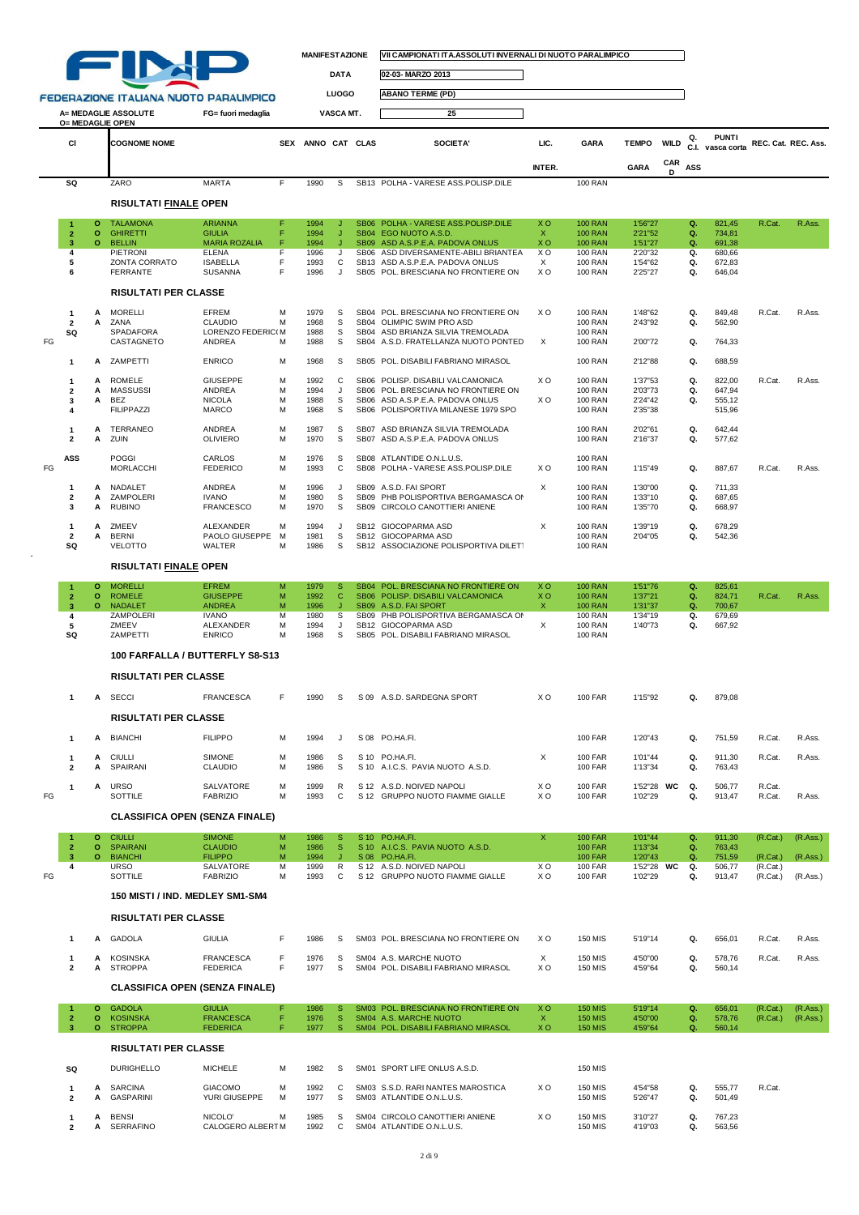

┑

 $\overline{\phantom{0}}$ 

**D ASS**

J.

**DATA 02-03- MARZO 2013**

**FEDERAZIONE ITALIANA NUOTO PARALIMPICO** 



**A= MEDAGLIE ASSOLUTE FG= fuori medaglia VASCA MT. 25**

| <b>O= MEDAGLIE OPEN</b> |                     |            |               | . |  |          |        |      |      |     |     |                                             |                     |  |
|-------------------------|---------------------|------------|---------------|---|--|----------|--------|------|------|-----|-----|---------------------------------------------|---------------------|--|
| CI                      | <b>COGNOME NOME</b> | <b>SEX</b> | ANNO CAT CLAS |   |  | SOCIETA' | LIC.   | GARA |      |     |     | <b>PUNTI</b><br>TEMPO WILD C.I. vasca corta | REC. Cat. REC. Ass. |  |
|                         |                     |            |               |   |  |          | INTER. |      | GARA | CAR | ASS |                                             |                     |  |

**SQ** ZARO MARTA F 1990 S SB13 POLHA - VARESE ASS.POLISP.DILE 100 RAN

**RISULTATI FINALE OPEN**

|    |                         | o       | <b>TALAMONA</b>             | <b>ARIANNA</b>       |   | 1994 | IJ      | SB06 POLHA - VARESE ASS.POLISP.DILE   | <b>XO</b>      | <b>100 RAN</b> | 1'56"27 | Q. | 821,45 | R.Cat. | R.Ass. |
|----|-------------------------|---------|-----------------------------|----------------------|---|------|---------|---------------------------------------|----------------|----------------|---------|----|--------|--------|--------|
|    | 2                       | $\circ$ | <b>GHIRETTI</b>             | <b>GIULIA</b>        |   | 1994 | A.      | SB04 EGO NUOTO A.S.D.                 | X.             | <b>100 RAN</b> | 2'21"52 | О. | 734.81 |        |        |
|    | 3                       | $\circ$ | <b>BELLIN</b>               | <b>MARIA ROZALIA</b> |   | 1994 | A.      | SB09 ASD A.S.P.E.A. PADOVA ONLUS      | <b>XO</b>      | <b>100 RAN</b> | 1'51"27 | Q. | 691.38 |        |        |
|    | $\overline{4}$          |         | PIETRONI                    | <b>ELENA</b>         | F | 1996 | J       | SB06 ASD DIVERSAMENTE-ABILI BRIANTEA  | X <sub>O</sub> | <b>100 RAN</b> | 2'20"32 | Q. | 680,66 |        |        |
|    | 5                       |         | ZONTA CORRATO               | <b>ISABELLA</b>      | F | 1993 | C       | SB13 ASD A.S.P.E.A. PADOVA ONLUS      | X              | <b>100 RAN</b> | 1'54"62 | Q. | 672,83 |        |        |
|    | 6                       |         | <b>FERRANTE</b>             | <b>SUSANNA</b>       | F | 1996 | $\cdot$ | SB05 POL. BRESCIANA NO FRONTIERE ON   | X <sub>O</sub> | <b>100 RAN</b> | 2'25"27 | Q. | 646.04 |        |        |
|    |                         |         | <b>RISULTATI PER CLASSE</b> |                      |   |      |         |                                       |                |                |         |    |        |        |        |
|    | $\mathbf{1}$            |         | A MORELLI                   | EFREM                | м | 1979 | S       | SB04 POL. BRESCIANA NO FRONTIERE ON   | X O            | <b>100 RAN</b> | 1'48"62 | Q. | 849,48 | R.Cat. | R.Ass. |
|    | $\overline{2}$          | A       | ZANA                        | <b>CLAUDIO</b>       | м | 1968 | S.      | SB04 OLIMPIC SWIM PRO ASD             |                | <b>100 RAN</b> | 2'43"92 | Q. | 562.90 |        |        |
|    | SQ                      |         | SPADAFORA                   | LORENZO FEDERIC(M    |   | 1988 | S       | SB04 ASD BRIANZA SILVIA TREMOLADA     |                | <b>100 RAN</b> |         |    |        |        |        |
| FG |                         |         | CASTAGNETO                  | ANDREA               | м | 1988 | S.      | SB04 A.S.D. FRATELLANZA NUOTO PONTED  | $\times$       | <b>100 RAN</b> | 2'00"72 | Q. | 764,33 |        |        |
|    | $\overline{\mathbf{1}}$ |         | A ZAMPETTI                  | <b>ENRICO</b>        | M | 1968 | S       | SB05 POL. DISABILI FABRIANO MIRASOL   |                | <b>100 RAN</b> | 2'12"88 | Q. | 688,59 |        |        |
|    | -1                      |         | A ROMELE                    | <b>GIUSEPPE</b>      | м | 1992 | C       | SB06 POLISP, DISABILI VALCAMONICA     | X <sub>O</sub> | <b>100 RAN</b> | 1'37"53 | Q. | 822,00 | R.Cat. | R.Ass. |
|    | 2                       | A       | MASSUSSI                    | <b>ANDREA</b>        | М | 1994 | J       | SB06 POL. BRESCIANA NO FRONTIERE ON   |                | <b>100 RAN</b> | 2'03"73 | Q. | 647,94 |        |        |
|    | 3                       | А       | <b>BEZ</b>                  | <b>NICOLA</b>        | М | 1988 | s       | SB06 ASD A.S.P.E.A. PADOVA ONLUS      | X O            | <b>100 RAN</b> | 2'24"42 | Q. | 555,12 |        |        |
|    | $\overline{4}$          |         | <b>FILIPPAZZI</b>           | <b>MARCO</b>         | M | 1968 | S       | SB06 POLISPORTIVA MILANESE 1979 SPO   |                | <b>100 RAN</b> | 2'35"38 |    | 515,96 |        |        |
|    | -1                      |         | A TERRANEO                  | ANDREA               | м | 1987 | S       | SB07 ASD BRIANZA SILVIA TREMOLADA     |                | <b>100 RAN</b> | 2'02"61 | Q. | 642.44 |        |        |
|    | $\overline{2}$          | A       | ZUIN                        | <b>OLIVIERO</b>      | М | 1970 | S       | SB07 ASD A.S.P.E.A. PADOVA ONLUS      |                | <b>100 RAN</b> | 2'16"37 | Q. | 577.62 |        |        |
|    | <b>ASS</b>              |         | POGGI                       | CARLOS               | М | 1976 | S       | SB08 ATLANTIDE O.N.L.U.S.             |                | <b>100 RAN</b> |         |    |        |        |        |
| FG |                         |         | <b>MORLACCHI</b>            | <b>FEDERICO</b>      | M | 1993 | C       | SB08 POLHA - VARESE ASS.POLISP.DILE   | X O            | <b>100 RAN</b> | 1'15"49 | Q. | 887,67 | R.Cat. | R.Ass. |
|    | -1                      |         | A NADALET                   | ANDREA               | м | 1996 | J       | SB09 A.S.D. FAI SPORT                 | X              | <b>100 RAN</b> | 1'30"00 | Q. | 711.33 |        |        |
|    | 2                       | A       | ZAMPOLERI                   | <b>IVANO</b>         | М | 1980 | s       | SB09 PHB POLISPORTIVA BERGAMASCA ON   |                | <b>100 RAN</b> | 1'33"10 | Q. | 687.65 |        |        |
|    | 3                       | A       | <b>RUBINO</b>               | <b>FRANCESCO</b>     | М | 1970 | S.      | SB09 CIRCOLO CANOTTIERI ANIENE        |                | <b>100 RAN</b> | 1'35"70 | Q. | 668,97 |        |        |
|    |                         | A       | ZMEEV                       | ALEXANDER            | м | 1994 | J       | SB12 GIOCOPARMA ASD                   | X              | <b>100 RAN</b> | 1'39"19 | Q. | 678,29 |        |        |
|    | $\mathbf{2}$            | А       | <b>BERNI</b>                | PAOLO GIUSEPPE       | M | 1981 | S       | SB12 GIOCOPARMA ASD                   |                | <b>100 RAN</b> | 2'04"05 | Q. | 542,36 |        |        |
|    | SQ                      |         | <b>VELOTTO</b>              | <b>WALTER</b>        | м | 1986 | S.      | SB12 ASSOCIAZIONE POLISPORTIVA DILETT |                | <b>100 RAN</b> |         |    |        |        |        |

#### **RISULTATI FINALE OPEN**

-

|              | o. | <b>MORELLI</b>                  | <b>EFREM</b>    | M  | 1979 |    | SB <sub>04</sub> | POL. BRESCIANA NO FRONTIERE ON      | X <sub>O</sub> | <b>100 RAN</b> | 1'51"76 | Ο.         | 825.61 |        |        |
|--------------|----|---------------------------------|-----------------|----|------|----|------------------|-------------------------------------|----------------|----------------|---------|------------|--------|--------|--------|
| $\mathbf{2}$ | o  | <b>ROMELE</b>                   | <b>GIUSEPPE</b> | M  | 1992 | C. | SB <sub>06</sub> | <b>POLISP. DISABILI VALCAMONICA</b> | X <sub>O</sub> | <b>100 RAN</b> | 1'37"21 | $\Omega$ . | 824.71 | R.Cat. | R.Ass. |
| з.           | o  | NADALET                         | <b>ANDREA</b>   | M  | 1996 |    |                  | SB09 A.S.D. FAI SPORT               | x              | <b>100 RAN</b> | 1'31"37 | Q.         | 700.67 |        |        |
|              |    | ZAMPOLERI                       | <b>IVANO</b>    | м  | 1980 |    | SB <sub>09</sub> | PHB POLISPORTIVA BERGAMASCA ON      |                | <b>100 RAN</b> | 1'34"19 | Q.         | 679.69 |        |        |
|              |    | ZMEEV                           | ALEXANDER       | м  | 1994 |    |                  | SB12 GIOCOPARMA ASD                 | X              | <b>100 RAN</b> | 1'40"73 | Q.         | 667,92 |        |        |
| SQ           |    | ZAMPETTI                        | <b>ENRICO</b>   | М  | 1968 | S. | SB <sub>05</sub> | POL. DISABILI FABRIANO MIRASOL      |                | <b>100 RAN</b> |         |            |        |        |        |
|              |    | 100 FARFALLA / BUTTERFLY S8-S13 |                 |    |      |    |                  |                                     |                |                |         |            |        |        |        |
|              |    | <b>RISULTATI PER CLASSE</b>     |                 |    |      |    |                  |                                     |                |                |         |            |        |        |        |
|              | А  | SECCI                           | FRANCESCA       | F. | 1990 | S. |                  | S 09 A.S.D. SARDEGNA SPORT          | X <sub>O</sub> | <b>100 FAR</b> | 1'15"92 | Q.         | 879.08 |        |        |

|   |     | <b>RISULTATI PER CLASSE</b> |                                 |        |              |   |              |                                                    |            |                                  |                    |           |          |                  |                  |        |
|---|-----|-----------------------------|---------------------------------|--------|--------------|---|--------------|----------------------------------------------------|------------|----------------------------------|--------------------|-----------|----------|------------------|------------------|--------|
|   | А   | <b>BIANCHI</b>              | <b>FILIPPO</b>                  | M      | 1994         |   | S 08         | PO.HA.FI.                                          |            | <b>100 FAR</b>                   | 1'20"43            |           | Q.       | 751,59           | R.Cat.           | R.Ass. |
| 2 | A ' | <b>CIULLI</b><br>SPAIRANI   | <b>SIMONE</b><br><b>CLAUDIO</b> | M<br>м | 1986<br>1986 |   | S 10<br>S 10 | PO.HA.FI.<br>A.I.C.S. PAVIA NUOTO A.S.D.           |            | <b>100 FAR</b><br><b>100 FAR</b> | 1'01"44<br>1'13"34 |           | Q.<br>Q. | 911.30<br>763,43 | R.Cat.           | R.Ass. |
|   | А   | <b>URSO</b><br>SOTTILE      | SALVATORE<br><b>FABRIZIO</b>    | м<br>м | 1999<br>1993 | R | S 12<br>S 12 | A.S.D. NOIVED NAPOLI<br>GRUPPO NUOTO FIAMME GIALLE | X O<br>X O | <b>100 FAR</b><br><b>100 FAR</b> | 1'52"28<br>1'02"29 | <b>WC</b> | Q.<br>Q. | 506.77<br>913.47 | R.Cat.<br>R.Cat. | R.Ass. |

**CLASSIFICA OPEN (SENZA FINALE)**

|    |                | $\circ$ | <b>CIULLI</b>                         | <b>SIMONE</b>    | M | 1986 | s            | PO.HA.FI.<br>S 10                                  | $\mathsf{x}$   | <b>100 FAR</b> | 1'01"44    | О. | 911,30 | (R.Cat.) | (R.Ass.) |
|----|----------------|---------|---------------------------------------|------------------|---|------|--------------|----------------------------------------------------|----------------|----------------|------------|----|--------|----------|----------|
|    | $\overline{2}$ | $\circ$ | <b>SPAIRANI</b>                       | <b>CLAUDIO</b>   | M | 1986 | S            | A.I.C.S. PAVIA NUOTO A.S.D.<br>S <sub>10</sub>     |                | <b>100 FAR</b> | 1'13"34    | Q. | 763.43 |          |          |
|    | 3              | o       | <b>BIANCHI</b>                        | <b>FILIPPO</b>   | M | 1994 |              | S 08 PO.HA.FI.                                     |                | <b>100 FAR</b> | 1'20"43    | О. | 751,59 | (R.Cat.) | (R.Ass.) |
|    | 4              |         | <b>URSO</b>                           | SALVATORE        | м | 1999 | R            | S 12 A.S.D. NOIVED NAPOLI                          | X <sub>O</sub> | <b>100 FAR</b> | 1'52"28 WC | Q. | 506.77 | (R.Cat.) |          |
| FG |                |         | SOTTILE                               | <b>FABRIZIO</b>  | м | 1993 | C            | S 12 GRUPPO NUOTO FIAMME GIALLE                    | X <sub>O</sub> | <b>100 FAR</b> | 1'02"29    | Q. | 913,47 | (R.Cat.) | (R.Ass.) |
|    |                |         |                                       |                  |   |      |              |                                                    |                |                |            |    |        |          |          |
|    |                |         | 150 MISTI / IND. MEDLEY SM1-SM4       |                  |   |      |              |                                                    |                |                |            |    |        |          |          |
|    |                |         | <b>RISULTATI PER CLASSE</b>           |                  |   |      |              |                                                    |                |                |            |    |        |          |          |
|    |                | A       | <b>GADOLA</b>                         | <b>GIULIA</b>    | E | 1986 | S            | SM03 POL. BRESCIANA NO FRONTIERE ON                | X O            | <b>150 MIS</b> | 5'19"14    | Q. | 656,01 | R.Cat.   | R.Ass.   |
|    |                | А       | KOSINSKA                              | <b>FRANCESCA</b> | F | 1976 | S.           | SM04 A.S. MARCHE NUOTO                             | X              | <b>150 MIS</b> | 4'50"00    | Q. | 578.76 | R.Cat.   | R.Ass.   |
|    | $\overline{2}$ | A       | <b>STROPPA</b>                        | <b>FEDERICA</b>  | F | 1977 | S            | POL. DISABILI FABRIANO MIRASOL<br>SM <sub>04</sub> | X <sub>O</sub> | <b>150 MIS</b> | 4'59"64    | Q. | 560.14 |          |          |
|    |                |         |                                       |                  |   |      |              |                                                    |                |                |            |    |        |          |          |
|    |                |         | <b>CLASSIFICA OPEN (SENZA FINALE)</b> |                  |   |      |              |                                                    |                |                |            |    |        |          |          |
|    |                | $\circ$ | <b>GADOLA</b>                         | <b>GIULIA</b>    |   | 1986 | <sub>S</sub> | SM03 POL. BRESCIANA NO FRONTIERE ON                | <b>XO</b>      | <b>150 MIS</b> | 5'19"14    | О. | 656,01 | (R.Cat.) | (R.Ass.) |
|    | $\overline{2}$ | $\circ$ | <b>KOSINSKA</b>                       | <b>FRANCESCA</b> | F | 1976 | -S           | SM04 A.S. MARCHE NUOTO                             | $\mathsf{x}$   | <b>150 MIS</b> | 4'50"00    | Q. | 578,76 | (R.Cat.) | (R.Ass.) |
|    | 3.             | o       | <b>STROPPA</b>                        | <b>FEDERICA</b>  | F | 1977 | S.           | SM04 POL. DISABILI FABRIANO MIRASOL                | <b>XO</b>      | <b>150 MIS</b> | 4'59"64    | Q. | 560.14 |          |          |
|    |                |         | <b>RISULTATI PER CLASSE</b>           |                  |   |      |              |                                                    |                |                |            |    |        |          |          |
|    |                |         |                                       |                  |   |      |              |                                                    |                |                |            |    |        |          |          |
|    | SQ             |         | <b>DURIGHELLO</b>                     | <b>MICHELE</b>   | м | 1982 | S.           | SM01 SPORT LIFE ONLUS A.S.D.                       |                | <b>150 MIS</b> |            |    |        |          |          |
|    |                | A       | <b>SARCINA</b>                        | <b>GIACOMO</b>   | м | 1992 | C            | SM03 S.S.D. RARI NANTES MAROSTICA                  | X <sub>O</sub> | <b>150 MIS</b> | 4'54"58    | Q. | 555,77 | R.Cat.   |          |
|    |                |         | <b>GASPARINI</b>                      | YURI GIUSEPPE    | м | 1977 | S            | SM03 ATLANTIDE O.N.L.U.S.                          |                | <b>150 MIS</b> | 5'26"47    | Q. | 501.49 |          |          |
|    | $\overline{2}$ | A       |                                       |                  |   |      |              |                                                    |                |                |            |    |        |          |          |
|    |                |         |                                       |                  |   |      |              |                                                    |                |                |            |    |        |          |          |
|    |                | A       | <b>BENSI</b>                          | NICOLO'          | м | 1985 | S            | SM04 CIRCOLO CANOTTIERI ANIENE                     | X <sub>O</sub> | <b>150 MIS</b> | 3'10"27    | Q. | 767.23 |          |          |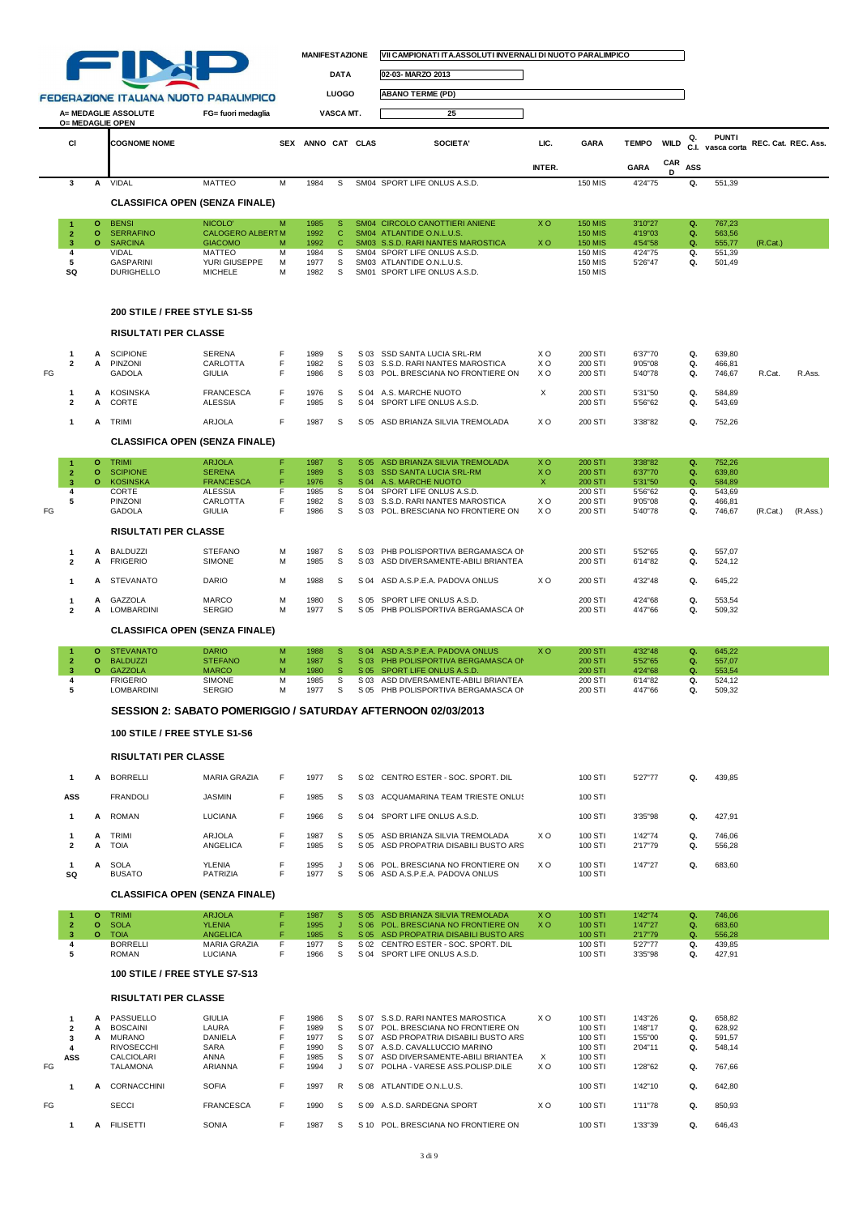|  | M/ |
|--|----|
|  |    |
|  |    |

┑

Ξ

**DATA 02-03- MARZO 2013**

FEDERAZIONE ITALIANA NUOTO PARALIMPICO

A= MED<br>O= MED

| <b>O= MEDAGLIE OPEN</b> | A= MEDAGLIE ASSOLUTE | FG= fuori medaglia | VASCA MT. |             | 25              |          |      |                      |                            |        |                               |                     |
|-------------------------|----------------------|--------------------|-----------|-------------|-----------------|----------|------|----------------------|----------------------------|--------|-------------------------------|---------------------|
| <b>CI</b>               | <b>COGNOME NOME</b>  | <b>SEX</b>         | ANNO CAT  | <b>CLAS</b> | <b>SOCIETA'</b> | LIC.     | GARA | <b>TEMPO</b>         | WILD $\sum_{i=1}^{\infty}$ |        | <b>PUNTI</b><br>. vasca corta | REC. Cat. REC. Ass. |
|                         |                      |                    |           |             |                 | $\cdots$ |      | $\sim$ $\sim$ $\sim$ | <b>CAR</b>                 | $\sim$ |                               |                     |

**LUOGO ABANO TERME (PD)**

|  |       |        |      |      |                                        | INTER. |                | GARA    | CAR<br> | <b>ASS</b><br>$ -$ |        |  |
|--|-------|--------|------|------|----------------------------------------|--------|----------------|---------|---------|--------------------|--------|--|
|  | VIDAL | MATTEC | IVI. | 1984 | SPORT LIFE ONLUS A.S.D.<br><b>SM04</b> |        | <b>150 MIS</b> | 1'24"75 |         |                    | 551,39 |  |

#### **CLASSIFICA OPEN (SENZA FINALE)**

|    | <b>BENSI</b><br>റ: |                   | NICOLO'          | м | 1985 | SM04 CIRCOLO CANOTTIERI ANIENE    | X O | <b>150 MIS</b> | 3'10"27 | 767.23 |          |
|----|--------------------|-------------------|------------------|---|------|-----------------------------------|-----|----------------|---------|--------|----------|
|    | О.                 | <b>SERRAFINO</b>  | CALOGERO ALBERTM |   | 1992 | SM04 ATLANTIDE O.N.L.U.S.         |     | <b>150 MIS</b> | 4'19"03 | 563.56 |          |
|    | О.                 | <b>SARCINA</b>    | <b>GIACOMO</b>   | м | 1992 | SM03 S.S.D. RARI NANTES MAROSTICA | X O | <b>150 MIS</b> | 4'54"58 | 555.7  | (R.Cat.) |
|    | <b>VIDAL</b>       |                   | MATTEO           |   | 1984 | SM04 SPORT LIFE ONLUS A.S.D.      |     | <b>150 MIS</b> | 4'24"75 | 551.39 |          |
|    |                    | <b>GASPARINI</b>  | YURI GIUSEPPE    |   | 1977 | SM03 ATLANTIDE O.N.L.U.S.         |     | <b>150 MIS</b> | 5'26"47 | 501.49 |          |
| so |                    | <b>DURIGHELLO</b> | MICHELE          |   | 1982 | SPORT LIFE ONLUS A.S.D.<br>SM01   |     | <b>150 MIS</b> |         |        |          |

#### **200 STILE / FREE STYLE S1-S5**

#### **RISULTATI PER CLASSE**

| FG. |  | <b>SCIPIONE</b><br>PINZONI<br><b>GADOLA</b> | <b>SERENA</b><br>CARLOTTA<br><b>GIULIA</b> | 1989<br>1982<br>1986 | S 03<br>S 03 | SSD SANTA LUCIA SRL-RM<br>S 03 S.S.D. RARI NANTES MAROSTICA<br>POL. BRESCIANA NO FRONTIERE ON | X O<br>X O<br>X O | 200 STI<br>200 STI<br>200 STI | 6'37"70<br>9'05"08<br>5'40"78 | Q.<br>Q.<br>Q. | 639.80<br>466.81<br>746.67 | R.Cat. | R.Ass. |
|-----|--|---------------------------------------------|--------------------------------------------|----------------------|--------------|-----------------------------------------------------------------------------------------------|-------------------|-------------------------------|-------------------------------|----------------|----------------------------|--------|--------|
|     |  | <b>KOSINSKA</b><br>CORTE                    | <b>FRANCESCA</b><br><b>ALESSIA</b>         | 1976<br>1985         |              | A.S. MARCHE NUOTO<br>SPORT LIFE ONLUS A.S.D.                                                  |                   | 200 STI<br>200 STI            | 5'31"50<br>5'56"62            | Q.<br>Q.       | 584.89<br>543,69           |        |        |
|     |  | TRIMI                                       | <b>ARJOLA</b>                              | 1987                 |              | ASD BRIANZA SILVIA TREMOLADA                                                                  | X O               | 200 STI                       | 3'38"82                       | Q.             | 752.26                     |        |        |

#### **CLASSIFICA OPEN (SENZA FINALE)**

| FG | $\mathbf{2}$<br>з. | o<br>0.<br>0. | <b>TRIMI</b><br><b>SCIPIONE</b><br><b>KOSINSKA</b><br>CORTE<br>PINZONI<br><b>GADOLA</b> | <b>ARJOLA</b><br><b>SERENA</b><br><b>FRANCESCA</b><br>ALESSIA<br>CARLOTTA<br>GIULIA | F.<br>F.<br>F.<br>F.<br>F. | 1987<br>1989<br>1976<br>1985<br>1982<br>1986 | s<br>s<br>s<br>S<br>S<br>S | S 05<br>S 03<br>S 04<br>S 03<br>S 03 | ASD BRIANZA SILVIA TREMOLADA<br><b>SSD SANTA LUCIA SRL-RM</b><br>S 04 A.S. MARCHE NUOTO<br>SPORT LIFE ONLUS A.S.D.<br>S.S.D. RARI NANTES MAROSTICA<br>POL. BRESCIANA NO FRONTIERE ON | X <sub>O</sub><br>X <sub>O</sub><br>X.<br>X O<br>X O | 200 STI<br>200 STI<br>200 STI<br>200 STI<br>200 STI<br>200 STI | 3'38"82<br>6'37"70<br>5'31"50<br>5'56"62<br>9'05"08<br>5'40"78 | О.<br>Q.<br>О.<br>Q.<br>Q.<br>Q. | 752.26<br>639.80<br>584.89<br>543.69<br>466,81<br>746.67 | (R.Cat.) | (R.Ass.) |
|----|--------------------|---------------|-----------------------------------------------------------------------------------------|-------------------------------------------------------------------------------------|----------------------------|----------------------------------------------|----------------------------|--------------------------------------|--------------------------------------------------------------------------------------------------------------------------------------------------------------------------------------|------------------------------------------------------|----------------------------------------------------------------|----------------------------------------------------------------|----------------------------------|----------------------------------------------------------|----------|----------|
|    |                    |               | <b>RISULTATI PER CLASSE</b>                                                             |                                                                                     |                            |                                              |                            |                                      |                                                                                                                                                                                      |                                                      |                                                                |                                                                |                                  |                                                          |          |          |
|    |                    | А<br>A        | <b>BALDUZZI</b><br><b>FRIGERIO</b>                                                      | <b>STEFANO</b><br><b>SIMONE</b>                                                     | м<br>M                     | 1987<br>1985                                 | S<br>S                     | S 03<br>S 03                         | PHB POLISPORTIVA BERGAMASCA OF<br>ASD DIVERSAMENTE-ABILI BRIANTEA                                                                                                                    |                                                      | 200 STI<br>200 STI                                             | 5'52"65<br>6'14"82                                             | Q.<br>Q.                         | 557,07<br>524.12                                         |          |          |
|    |                    | А             | <b>STEVANATO</b>                                                                        | <b>DARIO</b>                                                                        | M                          | 1988                                         | S                          | S 04                                 | ASD A.S.P.E.A. PADOVA ONLUS                                                                                                                                                          | X O                                                  | 200 STI                                                        | 4'32"48                                                        | Q.                               | 645,22                                                   |          |          |
|    |                    | А<br>A        | GAZZOLA<br><b>LOMBARDINI</b>                                                            | <b>MARCO</b><br><b>SERGIO</b>                                                       | M<br>M                     | 1980<br>1977                                 | S<br>S                     | S 05<br>S 05                         | SPORT LIFE ONLUS A.S.D.<br>PHB POLISPORTIVA BERGAMASCA OF                                                                                                                            |                                                      | 200 STI<br>200 STI                                             | 4'24"68<br>4'47"66                                             | Q.<br>Q.                         | 553,54<br>509.32                                         |          |          |

## **CLASSIFICA OPEN (SENZA FINALE)**

|  | STEVANATO       | <b>DARIO</b>   |   | 1988 |      | S 04 ASD A S.P.E.A. PADOVA ONLUS     | xο | 200 STI | 4'32"48 | 645.22 |
|--|-----------------|----------------|---|------|------|--------------------------------------|----|---------|---------|--------|
|  | <b>BALDUZZL</b> | <b>STEFANO</b> | M | 1987 |      | S.03 PHB POLISPORTIVA BERGAMASCA OF  |    | 200 STI | 5'52"65 | 557.07 |
|  | GAZZOLA         | <b>MARCO</b>   |   | 1980 |      | S.05 SPORT LIFE ONLUS A.S.D.         |    | 200 STI | 4'24"68 | 553.54 |
|  | <b>FRIGERIO</b> | <b>SIMONE</b>  |   | 1985 |      | S 03 ASD DIVERSAMENTE-ABILI BRIANTEA |    | 200 STI | 6'14"82 | 524.12 |
|  | LOMBARDINI      | <b>SERGIO</b>  |   | 1977 | S 05 | PHB POLISPORTIVA BERGAMASCA ON       |    | 200 STI | 4'47"66 | 509.32 |

## **SESSION 2: SABATO POMERIGGIO / SATURDAY AFTERNOON 02/03/2013**

## **100 STILE / FREE STYLE S1-S6**

## **RISULTATI PER CLASSE**

|            | А | BORRELLI              | MARIA GRAZIA              | F. | 1977         | S      | S 02         | CENTRO ESTER - SOC. SPORT. DIL                                   |                | 100 STI            | 5'27"77            | Q.       | 439,85           |
|------------|---|-----------------------|---------------------------|----|--------------|--------|--------------|------------------------------------------------------------------|----------------|--------------------|--------------------|----------|------------------|
| <b>ASS</b> |   | FRANDOLI              | <b>JASMIN</b>             | н. | 1985         | S      | S 03         | ACQUAMARINA TEAM TRIESTE ONLUS                                   |                | 100 STI            |                    |          |                  |
|            | A | <b>ROMAN</b>          | <b>LUCIANA</b>            | E  | 1966         | S      | S 04         | SPORT LIFE ONLUS A.S.D.                                          |                | 100 STI            | 3'35"98            | Q.       | 427,91           |
|            | А | TRIMI<br><b>TOIA</b>  | ARJOLA<br><b>ANGELICA</b> | F. | 1987<br>1985 | S<br>S | S 05<br>S 05 | ASD BRIANZA SILVIA TREMOLADA<br>ASD PROPATRIA DISABILI BUSTO ARS | X <sub>O</sub> | 100 STI<br>100 STI | 1'42"74<br>2'17"79 | Ο.<br>Q. | 746.06<br>556,28 |
| sQ         | А | SOLA<br><b>BUSATO</b> | <b>YLENIA</b><br>PATRIZIA | н. | 1995<br>1977 | S      | S 06<br>S 06 | POL. BRESCIANA NO FRONTIERE ON<br>ASD A.S.P.E.A. PADOVA ONLUS    | X <sub>O</sub> | 100 STI<br>100 STI | 1'47"27            | Ο.       | 683.60           |

## **CLASSIFICA OPEN (SENZA FINALE)**

|  | TRIMI           | ARJOLA              | 1987 | S 05 ASD BRIANZA SILVIA TREMOLADA     | X O | <b>100 STI</b> | 1'42"74   | 746.06 |
|--|-----------------|---------------------|------|---------------------------------------|-----|----------------|-----------|--------|
|  | O SOLA          | <b>YLENIA</b>       | 1995 | S.06 POL. BRESCIANA NO FRONTIERE ON   | X O | <b>100 STI</b> | 1'47"27   | 683.60 |
|  | <b>TOIA</b>     | <b>ANGELICA</b>     | 1985 | S 05 ASD PROPATRIA DISABILI BUSTO ARS |     | 100 STI        | 2'17''79' | 556.28 |
|  | <b>BORRELLI</b> | <b>MARIA GRAZIA</b> | 1977 | S 02 CENTRO ESTER - SOC. SPORT, DIL   |     | 100 STI        | 5'27"77   | 439.85 |
|  | <b>ROMAN</b>    | LUCIANA             | 1966 | SPORT LIFE ONLUS A.S.D.<br>S 04       |     | 100 ST         | 3'35"98   | 427.91 |

## **100 STILE / FREE STYLE S7-S13**

|    |              | А | PASSUELLO         | GIULIA           |   | 1986 | S  | S 07 | S.S.D. RARI NANTES MAROSTICA     | X <sub>O</sub> | 100 STI | 1'43"26 | Q. | 658.82 |
|----|--------------|---|-------------------|------------------|---|------|----|------|----------------------------------|----------------|---------|---------|----|--------|
|    |              | A | <b>BOSCAINI</b>   | LAURA            |   | 1989 | -S | S 07 | POL. BRESCIANA NO FRONTIERE ON   |                | 100 STI | 1'48"17 | Q. | 628.92 |
|    | 3            |   | <b>MURANO</b>     | DANIELA          |   | 1977 | S. | S 07 | ASD PROPATRIA DISABILI BUSTO ARS |                | 100 STI | 1'55"00 | Q. | 591.57 |
|    | $\mathbf{A}$ |   | <b>RIVOSECCHI</b> | <b>SARA</b>      |   | 1990 | S  | S 07 | A.S.D. CAVALLUCCIO MARINO        |                | 100 STI | 2'04"11 | Q. | 548.14 |
|    | <b>ASS</b>   |   | CALCIOLARI        | ANNA             | ► | 1985 | -S | S 07 | ASD DIVERSAMENTE-ABILI BRIANTEA  | X              | 100 STI |         |    |        |
| FG |              |   | <b>TALAMONA</b>   | ARIANNA          |   | 1994 |    | S 07 | POLHA - VARESE ASS POLISP DILE   | X O            | 100 STI | 1'28"62 | Q. | 767.66 |
|    |              | А | CORNACCHINI       | <b>SOFIA</b>     |   | 1997 | R  | S 08 | ATLANTIDE O.N.L.U.S.             |                | 100 STI | 1'42"10 | Q. | 642.80 |
|    |              |   | <b>SECCI</b>      | <b>FRANCESCA</b> | Е | 1990 | S  | S 09 | A.S.D. SARDEGNA SPORT            | X O            | 100 STI | 1'11"78 | Q. | 850,93 |
|    |              | А | <b>FILISETTI</b>  | <b>SONIA</b>     |   | 1987 | S  | S 10 | POL. BRESCIANA NO FRONTIERE ON   |                | 100 STI | 1'33"39 | Q. | 646.43 |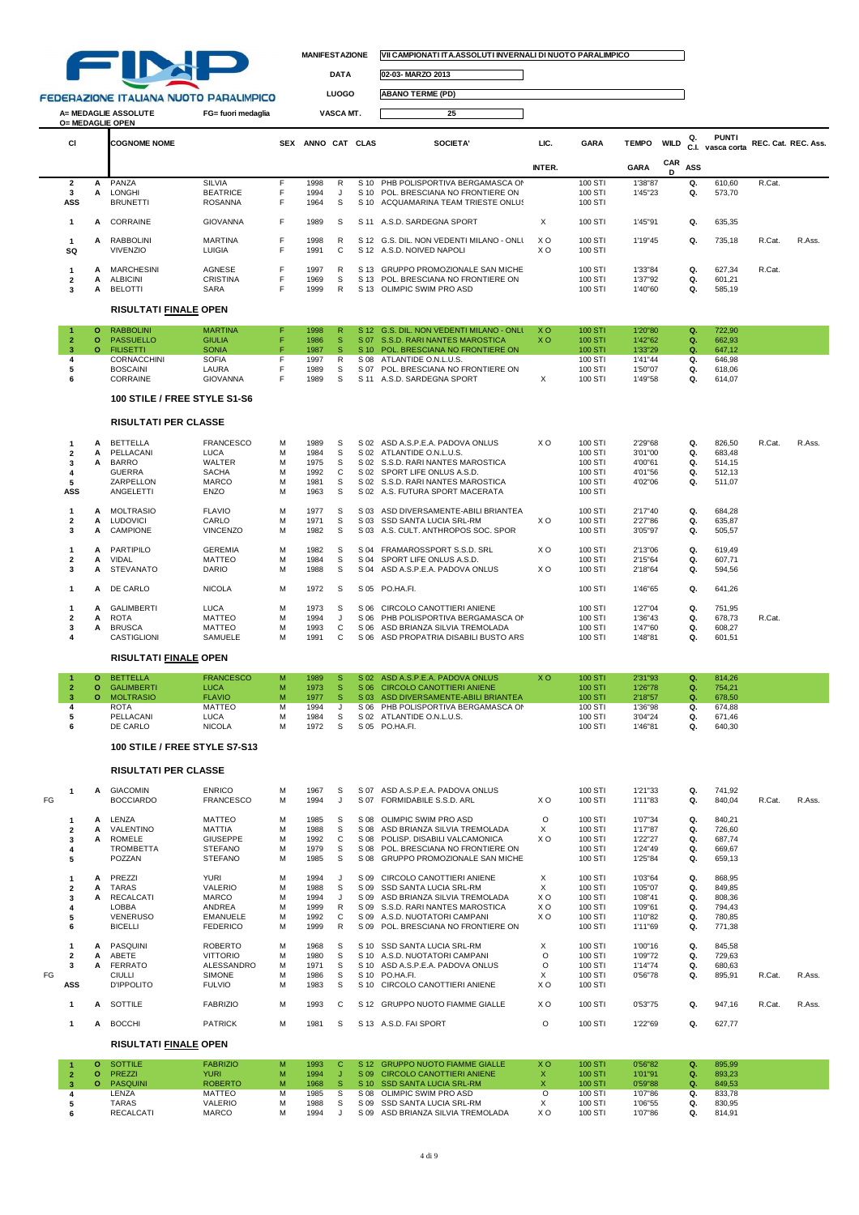

| <b>MANIFESTAZIONE</b> | VII CAMPIONATI ITA ASSOLUTI INVERNALI DI NUOTO PARALIMPICO |
|-----------------------|------------------------------------------------------------|
|                       |                                                            |

┑

**DATA 02-03- MARZO 2013 LUOGO ABANO TERME (PD)**

FEDERAZIONE ITALIANA NUOTO PARALIMPICO

|            |             | A= MEDAGLIE ASSOLUTE<br><b>O= MEDAGLIE OPEN</b>        | FG= fuori medaglia                              |            |                      | <b>VASCA MT.</b> |                      | 25                                                                                          |                |                               |                               |             |                |                             |                     |        |
|------------|-------------|--------------------------------------------------------|-------------------------------------------------|------------|----------------------|------------------|----------------------|---------------------------------------------------------------------------------------------|----------------|-------------------------------|-------------------------------|-------------|----------------|-----------------------------|---------------------|--------|
| <b>CI</b>  |             | <b>COGNOME NOME</b>                                    |                                                 | <b>SEX</b> | ANNO CAT             |                  | <b>CLAS</b>          | <b>SOCIETA'</b>                                                                             | LIC.           | <b>GARA</b>                   | <b>TEMPO</b>                  | <b>WILD</b> | Q.<br>C.I.     | <b>PUNTI</b><br>vasca corta | REC. Cat. REC. Ass. |        |
|            |             |                                                        |                                                 |            |                      |                  |                      |                                                                                             | INTER.         |                               | <b>GARA</b>                   | CAR<br>D    | ASS            |                             |                     |        |
| 2          | А           | PANZA                                                  | <b>SILVIA</b>                                   |            | 1998                 | R                | S 10                 | PHB POLISPORTIVA BERGAMASCA ON                                                              |                | 100 STI                       | 1'38"87                       |             | Q.             | 610,60                      | R.Cat.              |        |
| 3          | А           | <b>LONGHI</b>                                          | <b>BEATRICE</b>                                 | F.         | 1994                 |                  | S 10                 | POL. BRESCIANA NO FRONTIERE ON                                                              |                | 100 STI                       | 1'45"23                       |             | Q.             | 573,70                      |                     |        |
| <b>ASS</b> |             | <b>BRUNETTI</b>                                        | <b>ROSANNA</b>                                  | F.         | 1964                 | S                | S 10                 | ACQUAMARINA TEAM TRIESTE ONLUS                                                              |                | 100 STI                       |                               |             |                |                             |                     |        |
|            | А           | CORRAINE                                               | <b>GIOVANNA</b>                                 | F.         | 1989                 | S                | S 11                 | A.S.D. SARDEGNA SPORT                                                                       | X              | 100 STI                       | 1'45"91                       |             | Q.             | 635,35                      |                     |        |
|            | A           | <b>RABBOLINI</b>                                       | <b>MARTINA</b>                                  | F.         | 1998                 | R                | S 12                 | G.S. DIL. NON VEDENTI MILANO - ONLI                                                         | X <sub>O</sub> | 100 STI                       | 1'19"45                       |             | Q.             | 735,18                      | R.Cat.              | R.Ass. |
| SQ         |             | <b>VIVENZIO</b>                                        | <b>LUIGIA</b>                                   | F          | 1991                 | C.               |                      | S 12 A.S.D. NOIVED NAPOLI                                                                   | X O            | 100 STI                       |                               |             |                |                             |                     |        |
| 2<br>3     | A<br>А<br>А | <b>MARCHESINI</b><br><b>ALBICINI</b><br><b>BELOTTI</b> | <b>AGNESE</b><br><b>CRISTINA</b><br><b>SARA</b> | E<br>F     | 1997<br>1969<br>1999 | R<br>S<br>R      | S 13<br>S 13<br>S 13 | GRUPPO PROMOZIONALE SAN MICHE<br>. BRESCIANA NO FRONTIERE ON<br>POL<br>OLIMPIC SWIM PRO ASD |                | 100 STI<br>100 STI<br>100 STI | 1'33"84<br>1'37"92<br>1'40"60 |             | Q.<br>Q.<br>Q. | 627.34<br>601,21<br>585,19  | R.Cat.              |        |

# **RISULTATI FINALE OPEN**

|  | RABBOLINI        | <b>MARTINA</b> | 1998 |      | S 12 G.S. DIL. NON VEDENTI MILANO - ONLI | X O | <b>100 STI</b> | '20"80  | 722.90 |
|--|------------------|----------------|------|------|------------------------------------------|-----|----------------|---------|--------|
|  | PASSUELLO        | <b>GIULIA</b>  | 1986 |      | S.07 S.S.D. RARI NANTES MAROSTICA        | xο  | <b>100 STI</b> | 1'42"62 | 662.93 |
|  | <b>FILISETTI</b> | <b>SONIA</b>   | 1987 |      | S 10 POL. BRESCIANA NO FRONTIERE ON      |     | 100 STI        | '33"29  | 647.12 |
|  | CORNACCHINI      | <b>SOFIA</b>   | 1997 |      | S 08 ATLANTIDE O.N.L.U.S.                |     | 100 STI        | 1'41"44 | 646.98 |
|  | <b>BOSCAINI</b>  | LAURA          | 1989 | S 07 | POL. BRESCIANA NO FRONTIERE ON           |     | 100 STI        | 1'50"07 | 618.06 |
|  | <b>CORRAINE</b>  | GIOVANNA       | 1989 |      | A.S.D. SARDEGNA SPORT                    |     | 100 STI        | "49"58  | 614.07 |

## **100 STILE / FREE STYLE S1-S6**

## **RISULTATI PER CLASSE**

|                | A | <b>BETTELLA</b>    | <b>FRANCESCO</b> | м | 1989 | S  | S 02 | ASD A.S.P.E.A. PADOVA ONLUS          | X <sub>O</sub> | 100 STI | 2'29"68 | Q. | 826.50 | R.Cat. | R.Ass. |
|----------------|---|--------------------|------------------|---|------|----|------|--------------------------------------|----------------|---------|---------|----|--------|--------|--------|
| $\overline{2}$ | А | PELLACANI          | <b>LUCA</b>      | м | 1984 | S  |      | S 02 ATLANTIDE O.N.L.U.S.            |                | 100 STI | 3'01"00 | Q. | 683,48 |        |        |
| 3              | A | <b>BARRO</b>       | <b>WALTER</b>    | м | 1975 | S  |      | S 02 S.S.D. RARI NANTES MAROSTICA    |                | 100 STI | 4'00"61 | Q. | 514.15 |        |        |
| 4              |   | <b>GUERRA</b>      | <b>SACHA</b>     | М | 1992 | C  |      | S 02 SPORT LIFE ONLUS A.S.D.         |                | 100 STI | 4'01"56 | Q. | 512,13 |        |        |
| 5              |   | ZARPELLON          | <b>MARCO</b>     | М | 1981 | S  |      | S 02 S.S.D. RARI NANTES MAROSTICA    |                | 100 STI | 4'02"06 | Q. | 511.07 |        |        |
| ASS            |   | ANGELETTI          | ENZO             | М | 1963 | S. |      | S 02 A.S. FUTURA SPORT MACERATA      |                | 100 STI |         |    |        |        |        |
| 1              | A | MOLTRASIO          | <b>FLAVIO</b>    | M | 1977 | S. |      | S 03 ASD DIVERSAMENTE-ABILI BRIANTEA |                | 100 STI | 2'17"40 | Q. | 684.28 |        |        |
| $\overline{2}$ | A | <b>LUDOVICI</b>    | CARLO            | м | 1971 | S  |      | S 03 SSD SANTA LUCIA SRL-RM          | X O            | 100 STI | 2'27"86 | Q. | 635,87 |        |        |
| 3              | A | CAMPIONE           | <b>VINCENZO</b>  | М | 1982 | S  |      | S 03 A.S. CULT, ANTHROPOS SOC, SPOR  |                | 100 STI | 3'05"97 | Q. | 505.57 |        |        |
| 1              | A | PARTIPILO          | <b>GEREMIA</b>   | M | 1982 | S. | S 04 | FRAMAROSSPORT S.S.D. SRL             | X O            | 100 STI | 2'13"06 | Q. | 619.49 |        |        |
| $\mathbf{2}$   | A | <b>VIDAL</b>       | <b>MATTEO</b>    | м | 1984 | S  | S 04 | SPORT LIFE ONLUS A.S.D.              |                | 100 STI | 2'15"64 | Q. | 607,71 |        |        |
| 3              | A | <b>STEVANATO</b>   | <b>DARIO</b>     | М | 1988 | S  | S 04 | ASD A.S.P.E.A. PADOVA ONLUS          | X O            | 100 STI | 2'18"64 | Q. | 594.56 |        |        |
| 1              | A | DE CARLO           | <b>NICOLA</b>    | М | 1972 | S. | S 05 | PO.HA.FI.                            |                | 100 STI | 1'46"65 | Q. | 641.26 |        |        |
| 1              | A | <b>GALIMBERTI</b>  | <b>LUCA</b>      | М | 1973 | S. |      | S 06 CIRCOLO CANOTTIERI ANIENE       |                | 100 STI | 1'27"04 | Q. | 751,95 |        |        |
| 2              | A | <b>ROTA</b>        | <b>MATTEO</b>    | М | 1994 |    | S 06 | PHB POLISPORTIVA BERGAMASCA OI       |                | 100 STI | 1'36"43 | Q. | 678,73 | R.Cat. |        |
| 3              | A | <b>BRUSCA</b>      | <b>MATTEO</b>    | М | 1993 | C  | S 06 | ASD BRIANZA SILVIA TREMOLADA         |                | 100 STI | 1'47"60 | Q. | 608,27 |        |        |
| 4              |   | <b>CASTIGLIONI</b> | <b>SAMUELE</b>   | м | 1991 | C  | S 06 | ASD PROPATRIA DISABILI BUSTO ARS     |                | 100 STI | 1'48"81 | Q. | 601,51 |        |        |
|                |   |                    |                  |   |      |    |      |                                      |                |         |         |    |        |        |        |

# **RISULTATI FINALE OPEN**

|  | <b>BETTELLA</b>   | <b>FRANCESCO</b> | 1989 |  | S 02 ASD A.S.P.E.A. PADOVA ONLUS     | xо | <b>100 STI</b> | 2'31"93 |    | 814.26 |
|--|-------------------|------------------|------|--|--------------------------------------|----|----------------|---------|----|--------|
|  | <b>GALIMBERTI</b> | <b>LUCA</b>      | 1973 |  | S.06 CIRCOLO CANOTTIERI ANIENE       |    | <b>100 STI</b> | 1'26"78 | Ο. | 754.21 |
|  | <b>MOLTRASIO</b>  | <b>FLAVIO</b>    | 1977 |  | S 03 ASD DIVERSAMENTE-ABILI BRIANTEA |    | <b>100 STI</b> | 2'18"57 | ю. | 678.50 |
|  | <b>ROTA</b>       | <b>MATTEO</b>    | 1994 |  | S 06 PHB POLISPORTIVA BERGAMASCA OF  |    | 100 STI        | 1'36"98 | Q. | 674.88 |
|  | PELLACANI         | LUCA             | 1984 |  | S 02 ATLANTIDE O.N.L.U.S.            |    | 100 STI        | 3'04"24 |    | 671.46 |
|  | DE CARLO          | <b>NICOLA</b>    | 1972 |  | S 05 PO.HA.FI.                       |    | 100 STI        | 1'46"81 | Ο. | 640.30 |
|  |                   |                  |      |  |                                      |    |                |         |    |        |

#### **100 STILE / FREE STYLE S7-S13**

## **RISULTATI PER CLASSE**

| FG. |     | A | <b>GIACOMIN</b><br><b>BOCCIARDO</b> | <b>ENRICO</b><br><b>FRANCESCO</b> | M<br>M | 1967<br>1994 | S. | S 07<br>S 07 | ASD A.S.P.E.A. PADOVA ONLUS<br>FORMIDABILE S.S.D. ARL | X O            | 100 STI<br>100 STI | 1'21"33<br>1'11"83 | Q.<br>Q. | 741,92<br>840,04 | R.Cat. | R.Ass. |
|-----|-----|---|-------------------------------------|-----------------------------------|--------|--------------|----|--------------|-------------------------------------------------------|----------------|--------------------|--------------------|----------|------------------|--------|--------|
|     |     | A | LENZA                               | MATTEO                            | M      | 1985         | s  |              | S 08 OLIMPIC SWIM PRO ASD                             | O              | 100 STI            | 1'07"34            | Q.       | 840,21           |        |        |
|     |     | А | VALENTINO                           | <b>MATTIA</b>                     | M      | 1988         | S  | S 08         | ASD BRIANZA SILVIA TREMOLADA                          | X              | 100 STI            | 1'17"87            | Q.       | 726,60           |        |        |
|     |     | А | ROMELE                              | GIUSEPPE                          | M      | 1992         | C  | S 08         | POLISP. DISABILI VALCAMONICA                          | X O            | 100 STI            | 1'22"27            | Q.       | 687,74           |        |        |
|     |     |   | <b>TROMBETTA</b>                    | <b>STEFANO</b>                    | M      | 1979         | S  | S 08         | POL. BRESCIANA NO FRONTIERE ON                        |                | 100 STI            | 1'24"49            | Q.       | 669,67           |        |        |
|     | 5   |   | POZZAN                              | <b>STEFANO</b>                    | M      | 1985         | S  | S 08         | GRUPPO PROMOZIONALE SAN MICHE                         |                | 100 STI            | 1'25"84            | Q.       | 659,13           |        |        |
|     |     | A | PREZZI                              | <b>YURI</b>                       | M      | 1994         |    | S 09         | CIRCOLO CANOTTIERI ANIENE                             | X              | 100 STI            | 1'03"64            | Q.       | 868,95           |        |        |
|     |     | А | <b>TARAS</b>                        | VALERIO                           | M      | 1988         | -S | S 09         | SSD SANTA LUCIA SRL-RM                                | X              | 100 STI            | 1'05"07            | Q.       | 849,85           |        |        |
|     |     | А | RECALCATI                           | MARCO                             | M      | 1994         |    | S 09         | ASD BRIANZA SILVIA TREMOLADA                          | X O            | 100 STI            | 1'08"41            | Q.       | 808,36           |        |        |
|     |     |   | <b>LOBBA</b>                        | ANDREA                            | M      | 1999         | R  | S 09         | S.S.D. RARI NANTES MAROSTICA                          | X <sub>O</sub> | 100 STI            | 1'09"61            | Q.       | 794,43           |        |        |
|     |     |   | <b>VENERUSO</b>                     | <b>EMANUELE</b>                   | M      | 1992         | C  |              | S 09 A.S.D. NUOTATORI CAMPANI                         | X <sub>O</sub> | 100 STI            | 1'10"82            | Q.       | 780,85           |        |        |
|     |     |   | <b>BICELLI</b>                      | <b>FEDERICO</b>                   | M      | 1999         | R  | S 09         | POL. BRESCIANA NO FRONTIERE ON                        |                | 100 STI            | 1'11"69            | Q.       | 771,38           |        |        |
|     |     | A | PASQUINI                            | <b>ROBERTO</b>                    | M      | 1968         | s  |              | S 10 SSD SANTA LUCIA SRL-RM                           | X              | 100 STI            | 1'00"16            | Q.       | 845,58           |        |        |
|     |     | A | ABETE                               | <b>VITTORIO</b>                   | M      | 1980         | S. |              | S 10 A.S.D. NUOTATORI CAMPANI                         | Ω              | 100 STI            | 1'09"72            | Q.       | 729,63           |        |        |
|     |     | А | <b>FERRATO</b>                      | ALESSANDRO                        | M      | 1971         | S  | S 10         | ASD A.S.P.E.A. PADOVA ONLUS                           | O              | 100 STI            | 1'14"74            | Q.       | 680,63           |        |        |
| FG. |     |   | <b>CIULLI</b>                       | <b>SIMONE</b>                     | M      | 1986         | S  |              | S 10 PO.HA.FI.                                        | X              | 100 STI            | 0'56"78            | Q.       | 895,91           | R.Cat. | R.Ass. |
|     | ASS |   | <b>D'IPPOLITO</b>                   | <b>FULVIO</b>                     | M      | 1983         | S  |              | S 10 CIRCOLO CANOTTIERI ANIENE                        | X O            | 100 STI            |                    |          |                  |        |        |
|     |     | A | SOTTILE                             | <b>FABRIZIO</b>                   | м      | 1993         | C  |              | S 12 GRUPPO NUOTO FIAMME GIALLE                       | X O            | 100 STI            | 0'53"75            | Q.       | 947,16           | R.Cat. | R.Ass. |
|     |     | A | <b>BOCCHI</b>                       | <b>PATRICK</b>                    | м      | 1981         | S. |              | S 13 A.S.D. FAI SPORT                                 | O              | 100 STI            | 1'22"69            | Q.       | 627,77           |        |        |

## **RISULTATI FINALE OPEN**

|  | SOTTILE         | <b>FABRIZIO</b> | 1993             |      | S 12 GRUPPO NUOTO FIAMME GIALLE | X O               | 100 STI | 0'56"82 | 895.99 |
|--|-----------------|-----------------|------------------|------|---------------------------------|-------------------|---------|---------|--------|
|  | <b>PREZZI</b>   | <b>YURI</b>     | 1994             |      | S.09 CIRCOLO CANOTTIERI ANIENE  |                   | 100 STI | 1'01"91 | 893.23 |
|  | <b>PASQUINI</b> | <b>ROBERTO</b>  | 1968             |      | S 10 SSD SANTA LUCIA SRL-RM     |                   | 100 STI | 0'59"88 | 849.53 |
|  | <b>ENZA</b>     | <b>MATTEO</b>   | 1985             | S 08 | OLIMPIC SWIM PRO ASD            |                   | 100 STI | 1'07"86 | 833.78 |
|  | TARAS           | <b>VALERIO</b>  | 1988             | S 09 | SSD SANTA LUCIA SRL-RM          |                   | 100 STI | 1'06"55 | 830.95 |
|  | RECALCATI       | MARCO           | 100 <sub>A</sub> | S 09 | ASD BRIANZA SILVIA TREMOLADA    | $\times$ $\Omega$ | 100 ST  | 1'07"86 | 814.91 |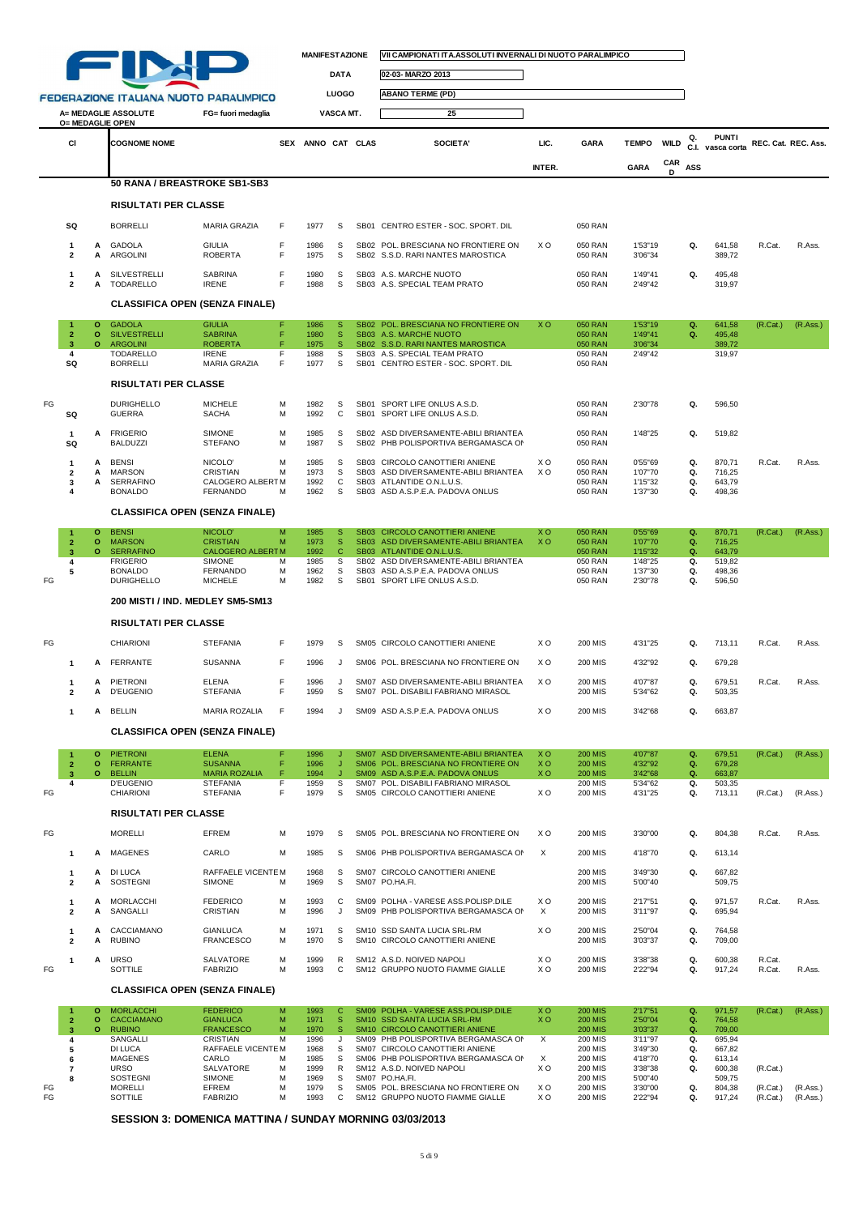

٦

**DATA 02-03- MARZO 2013**

|    |                                         |                   | <b>FEDERAZIONE ITALIANA NUOTO PARALIMPICO</b>        |                                                             |             |                      | <b>LUOGO</b>            |             | <b>ABANO TERME (PD)</b>                                                                                   |                                  |                                                    |                               |                                  |                |                                  |                  |                     |
|----|-----------------------------------------|-------------------|------------------------------------------------------|-------------------------------------------------------------|-------------|----------------------|-------------------------|-------------|-----------------------------------------------------------------------------------------------------------|----------------------------------|----------------------------------------------------|-------------------------------|----------------------------------|----------------|----------------------------------|------------------|---------------------|
|    |                                         |                   | A= MEDAGLIE ASSOLUTE<br><b>O= MEDAGLIE OPEN</b>      | FG= fuori medaglia                                          |             |                      | VASCA MT.               |             | 25                                                                                                        |                                  |                                                    |                               |                                  |                |                                  |                  |                     |
|    | <b>CI</b>                               |                   | <b>COGNOME NOME</b>                                  |                                                             |             | SEX ANNO CAT CLAS    |                         |             | <b>SOCIETA'</b>                                                                                           | LIC.                             | GARA                                               | <b>TEMPO</b>                  | <b>WILD</b>                      | Q.             | <b>PUNTI</b><br>C.I. vasca corta |                  | REC. Cat. REC. Ass. |
|    |                                         |                   |                                                      |                                                             |             |                      |                         |             |                                                                                                           | INTER.                           |                                                    | <b>GARA</b>                   | $\overline{\text{CAR}}$ ASS<br>D |                |                                  |                  |                     |
|    |                                         |                   | 50 RANA / BREASTROKE SB1-SB3                         |                                                             |             |                      |                         |             |                                                                                                           |                                  |                                                    |                               |                                  |                |                                  |                  |                     |
|    |                                         |                   | <b>RISULTATI PER CLASSE</b>                          |                                                             |             |                      |                         |             |                                                                                                           |                                  |                                                    |                               |                                  |                |                                  |                  |                     |
|    | SQ                                      |                   | <b>BORRELLI</b>                                      | MARIA GRAZIA                                                | F           | 1977                 | S                       |             | SB01 CENTRO ESTER - SOC. SPORT. DIL                                                                       |                                  | 050 RAN                                            |                               |                                  |                |                                  |                  |                     |
|    | $\mathbf{1}$<br>$\overline{2}$          | А<br>А            | <b>GADOLA</b><br>ARGOLINI                            | <b>GIULIA</b><br>ROBERTA                                    | F<br>F      | 1986<br>1975         | S<br>$\mathsf S$        |             | SB02 POL. BRESCIANA NO FRONTIERE ON<br>SB02 S.S.D. RARI NANTES MAROSTICA                                  | X O                              | 050 RAN<br>050 RAN                                 | 1'53"19<br>3'06"34            |                                  | Q.             | 641,58<br>389,72                 | R.Cat.           | R.Ass.              |
|    | $\mathbf{1}$<br>$\overline{2}$          | А<br>А            | SILVESTRELLI<br><b>TODARELLO</b>                     | SABRINA<br><b>IRENE</b>                                     | F<br>F      | 1980<br>1988         | S<br>S                  |             | SB03 A.S. MARCHE NUOTO<br>SB03 A.S. SPECIAL TEAM PRATO                                                    |                                  | 050 RAN<br>050 RAN                                 | 1'49"41<br>2'49"42            |                                  | Q.             | 495,48<br>319,97                 |                  |                     |
|    |                                         |                   |                                                      | <b>CLASSIFICA OPEN (SENZA FINALE)</b>                       |             |                      |                         |             |                                                                                                           |                                  |                                                    |                               |                                  |                |                                  |                  |                     |
|    | -1<br>$\overline{2}$                    | $\circ$<br>o      | <b>GADOLA</b><br><b>SILVESTRELLI</b>                 | <b>GIULIA</b><br><b>SABRINA</b>                             | F<br>F      | 1986<br>1980         | s<br>$\mathbf S$        |             | SB02 POL. BRESCIANA NO FRONTIERE ON<br>SB03 A.S. MARCHE NUOTO                                             | <b>XO</b>                        | <b>050 RAN</b><br><b>050 RAN</b>                   | 1'53"19<br>1'49"41            |                                  | Q.<br>Q.       | 641,58<br>495,48                 | (R.Cat.)         | (R.Ass.)            |
|    | 3<br>4                                  | $\circ$           | <b>ARGOLINI</b><br>TODARELLO                         | <b>ROBERTA</b><br><b>IRENE</b>                              | F<br>F      | 1975<br>1988         | <b>S</b><br>S           |             | SB02 S.S.D. RARI NANTES MAROSTICA<br>SB03 A.S. SPECIAL TEAM PRATO                                         |                                  | <b>050 RAN</b><br>050 RAN                          | 3'06"34<br>2'49"42            |                                  |                | 389,72<br>319,97                 |                  |                     |
|    | SQ                                      |                   | <b>BORRELLI</b>                                      | <b>MARIA GRAZIA</b>                                         | F           | 1977                 | S                       |             | SB01 CENTRO ESTER - SOC. SPORT. DIL                                                                       |                                  | 050 RAN                                            |                               |                                  |                |                                  |                  |                     |
|    |                                         |                   | <b>RISULTATI PER CLASSE</b>                          |                                                             |             |                      |                         |             |                                                                                                           |                                  |                                                    |                               |                                  |                |                                  |                  |                     |
| FG | SQ                                      |                   | <b>DURIGHELLO</b><br><b>GUERRA</b>                   | <b>MICHELE</b><br>SACHA                                     | M<br>M      | 1982<br>1992         | S<br>C                  | SB01        | SB01 SPORT LIFE ONLUS A.S.D.<br>SPORT LIFE ONLUS A.S.D.                                                   |                                  | 050 RAN<br>050 RAN                                 | 2'30"78                       |                                  | Q.             | 596,50                           |                  |                     |
|    | -1<br>SQ                                | А                 | <b>FRIGERIO</b><br><b>BALDUZZI</b>                   | SIMONE<br><b>STEFANO</b>                                    | M<br>M      | 1985<br>1987         | S<br>S                  |             | SB02 ASD DIVERSAMENTE-ABILI BRIANTEA<br>SB02 PHB POLISPORTIVA BERGAMASCA ON                               |                                  | 050 RAN<br>050 RAN                                 | 1'48"25                       |                                  | Q.             | 519,82                           |                  |                     |
|    | $\mathbf{1}$<br>$\overline{\mathbf{2}}$ | А<br>A            | <b>BENSI</b><br><b>MARSON</b>                        | NICOLO'<br>CRISTIAN                                         | M<br>M      | 1985<br>1973         | S<br>S                  |             | SB03 CIRCOLO CANOTTIERI ANIENE<br>SB03 ASD DIVERSAMENTE-ABILI BRIANTEA                                    | X O<br>X O                       | 050 RAN<br>050 RAN                                 | 0'55"69<br>1'07"70            |                                  | Q.<br>Q.       | 870,71<br>716,25                 | R.Cat.           | R.Ass.              |
|    | 3<br>4                                  | А                 | <b>SERRAFINO</b><br><b>BONALDO</b>                   | CALOGERO ALBERTM<br><b>FERNANDO</b>                         | M           | 1992<br>1962         | C<br>S                  |             | SB03 ATLANTIDE O.N.L.U.S.<br>SB03 ASD A.S.P.E.A. PADOVA ONLUS                                             |                                  | 050 RAN<br>050 RAN                                 | 1'15"32<br>1'37"30            |                                  | Q.<br>Q.       | 643,79<br>498,36                 |                  |                     |
|    |                                         |                   |                                                      | <b>CLASSIFICA OPEN (SENZA FINALE)</b>                       |             |                      |                         |             |                                                                                                           |                                  |                                                    |                               |                                  |                |                                  |                  |                     |
|    | 1                                       | o                 | <b>BENSI</b>                                         | NICOLO'                                                     | M           | 1985                 | S.                      | <b>SB03</b> | CIRCOLO CANOTTIERI ANIENE                                                                                 | <b>XO</b>                        | <b>050 RAN</b>                                     | 0'55"69                       |                                  | Q.             | 870,71                           | (R.Cat.)         | (R.Ass.)            |
|    | $\overline{2}$<br>3<br>4                | o<br>$\circ$      | <b>MARSON</b><br><b>SERRAFINO</b><br><b>FRIGERIO</b> | <b>CRISTIAN</b><br><b>CALOGERO ALBERTM</b><br><b>SIMONE</b> | M<br>M      | 1973<br>1992<br>1985 | S.<br><b>C</b><br>S     |             | SB03 ASD DIVERSAMENTE-ABILI BRIANTEA<br>SB03 ATLANTIDE O.N.L.U.S.<br>SB02 ASD DIVERSAMENTE-ABILI BRIANTEA | <b>XO</b>                        | <b>050 RAN</b><br><b>050 RAN</b><br>050 RAN        | 1'07"70<br>1'15"32<br>1'48"25 |                                  | Q.<br>Q.<br>Q. | 716,25<br>643,79<br>519,82       |                  |                     |
| FG | 5                                       |                   | <b>BONALDO</b><br><b>DURIGHELLO</b>                  | <b>FERNANDO</b><br><b>MICHELE</b>                           | M<br>M      | 1962<br>1982         | S<br>S                  |             | SB03 ASD A.S.P.E.A. PADOVA ONLUS<br>SB01 SPORT LIFE ONLUS A.S.D.                                          |                                  | 050 RAN<br>050 RAN                                 | 1'37"30<br>2'30"78            |                                  | Q.<br>Q.       | 498,36<br>596,50                 |                  |                     |
|    |                                         |                   |                                                      | 200 MISTI / IND. MEDLEY SM5-SM13                            |             |                      |                         |             |                                                                                                           |                                  |                                                    |                               |                                  |                |                                  |                  |                     |
|    |                                         |                   | <b>RISULTATI PER CLASSE</b>                          |                                                             |             |                      |                         |             |                                                                                                           |                                  |                                                    |                               |                                  |                |                                  |                  |                     |
| FG |                                         |                   | CHIARIONI                                            | <b>STEFANIA</b>                                             | F           | 1979                 | S                       |             | SM05 CIRCOLO CANOTTIERI ANIENE                                                                            | X O                              | 200 MIS                                            | 4'31"25                       |                                  | Q.             | 713,11                           | R.Cat.           | R.Ass.              |
|    | $\mathbf{1}$                            |                   | A FERRANTE                                           | SUSANNA                                                     | F           | 1996                 | J                       |             | SM06 POL, BRESCIANA NO FRONTIERE ON                                                                       | X O                              | <b>200 MIS</b>                                     | 4'32"92                       |                                  | Q.             | 679,28                           |                  |                     |
|    | $\overline{2}$                          | А<br>А            | PIETRONI<br><b>D'EUGENIO</b>                         | <b>ELENA</b><br><b>STEFANIA</b>                             | F<br>F      | 1996<br>1959         | J<br>S                  |             | SM07 ASD DIVERSAMENTE-ABILI BRIANTEA<br>SM07 POL. DISABILI FABRIANO MIRASOL                               | X O                              | <b>200 MIS</b><br>200 MIS                          | 4'07"87<br>5'34"62            |                                  | Q.<br>Q.       | 679,51<br>503,35                 | R.Cat.           | R.Ass.              |
|    | $\mathbf{1}$                            | А                 | <b>BELLIN</b>                                        | <b>MARIA ROZALIA</b>                                        | F           | 1994                 | J                       |             | SM09 ASD A.S.P.E.A. PADOVA ONLUS                                                                          | X O                              | <b>200 MIS</b>                                     | 3'42"68                       |                                  | Q.             | 663,87                           |                  |                     |
|    |                                         |                   |                                                      | <b>CLASSIFICA OPEN (SENZA FINALE)</b>                       |             |                      |                         |             |                                                                                                           |                                  |                                                    |                               |                                  |                |                                  |                  |                     |
|    | -1<br>$\overline{2}$                    | o<br>o            | <b>PIETRONI</b><br><b>FERRANTE</b>                   | <b>ELENA</b><br><b>SUSANNA</b>                              | F.<br>F     | 1996<br>1996         | J<br>J                  |             | SM07 ASD DIVERSAMENTE-ABILI BRIANTEA<br>SM06 POL. BRESCIANA NO FRONTIERE ON                               | X O<br>X <sub>O</sub>            | <b>200 MIS</b><br><b>200 MIS</b>                   | 4'07"87<br>4'32"92            |                                  | Q.<br>Q.       | 679,51<br>679,28                 | (R.Cat.)         | (R.Ass.)            |
|    | 3<br>4                                  | $\circ$           | <b>BELLIN</b><br><b>D'EUGENIO</b>                    | <b>MARIA ROZALIA</b><br><b>STEFANIA</b>                     | F<br>F      | 1994<br>1959         | $\mathsf J$<br>s        |             | SM09 ASD A.S.P.E.A. PADOVA ONLUS<br>SM07 POL. DISABILI FABRIANO MIRASOL                                   | X <sub>O</sub>                   | <b>200 MIS</b><br><b>200 MIS</b>                   | 3'42"68<br>5'34"62            |                                  | Q.<br>Q.       | 663,87<br>503,35                 |                  |                     |
| FG |                                         |                   | CHIARIONI<br><b>RISULTATI PER CLASSE</b>             | <b>STEFANIA</b>                                             | F           | 1979                 | s                       |             | SM05 CIRCOLO CANOTTIERI ANIENE                                                                            | XO                               | 200 MIS                                            | 4'31"25                       |                                  | Q.             | 713,11                           | (R.Cat.)         | (R.Ass.)            |
| FG |                                         |                   | <b>MORELLI</b>                                       | EFREM                                                       | M           | 1979                 | S                       |             | SM05 POL. BRESCIANA NO FRONTIERE ON                                                                       | XO                               | 200 MIS                                            | 3'30"00                       |                                  | Q.             | 804,38                           | R.Cat.           | R.Ass.              |
|    | 1                                       | А                 | MAGENES                                              | CARLO                                                       | M           | 1985                 | S                       |             | SM06 PHB POLISPORTIVA BERGAMASCA OI                                                                       | X                                | 200 MIS                                            | 4'18"70                       |                                  | Q.             | 613,14                           |                  |                     |
|    | 1<br>$\overline{\mathbf{2}}$            | Α<br>А            | DI LUCA<br>SOSTEGNI                                  | RAFFAELE VICENTEM<br><b>SIMONE</b>                          | М           | 1968<br>1969         | S<br>S                  |             | SM07 CIRCOLO CANOTTIERI ANIENE<br>SM07 PO.HA.FI.                                                          |                                  | <b>200 MIS</b><br><b>200 MIS</b>                   | 3'49"30<br>5'00"40            |                                  | Q.             | 667,82<br>509,75                 |                  |                     |
|    | $\mathbf{1}$<br>$\overline{2}$          | А<br>A            | <b>MORLACCHI</b><br>SANGALLI                         | <b>FEDERICO</b><br>CRISTIAN                                 | М<br>M      | 1993<br>1996         | C<br>J                  |             | SM09 POLHA - VARESE ASS.POLISP.DILE<br>SM09 PHB POLISPORTIVA BERGAMASCA OI                                | X O<br>$\boldsymbol{\mathsf{x}}$ | <b>200 MIS</b><br><b>200 MIS</b>                   | 2'17"51<br>3'11"97            |                                  | Q.<br>Q.       | 971,57<br>695,94                 | R.Cat.           | R.Ass.              |
|    | $\mathbf{1}$<br>$\overline{2}$          | A<br>Α            | CACCIAMANO<br><b>RUBINO</b>                          | <b>GIANLUCA</b><br><b>FRANCESCO</b>                         | M<br>M      | 1971<br>1970         | S<br>S                  |             | SM10 SSD SANTA LUCIA SRL-RM<br>SM10 CIRCOLO CANOTTIERI ANIENE                                             | X <sub>O</sub>                   | <b>200 MIS</b><br>200 MIS                          | 2'50"04<br>3'03"37            |                                  | Q.<br>Q.       | 764,58<br>709,00                 |                  |                     |
| FG | 1                                       | А                 | <b>URSO</b><br>SOTTILE                               | SALVATORE<br><b>FABRIZIO</b>                                | M<br>M      | 1999<br>1993         | R<br>$\mathbf{C}$       |             | SM12 A.S.D. NOIVED NAPOLI<br>SM12 GRUPPO NUOTO FIAMME GIALLE                                              | X O<br>X <sub>O</sub>            | <b>200 MIS</b><br><b>200 MIS</b>                   | 3'38"38<br>2'22"94            |                                  | Q.<br>Q.       | 600,38<br>917,24                 | R.Cat.<br>R.Cat. | R.Ass.              |
|    |                                         |                   |                                                      | <b>CLASSIFICA OPEN (SENZA FINALE)</b>                       |             |                      |                         |             |                                                                                                           |                                  |                                                    |                               |                                  |                |                                  |                  |                     |
|    | -1.<br>$\overline{2}$<br>3              | o<br>o<br>$\circ$ | <b>MORLACCHI</b><br>CACCIAMANO<br><b>RUBINO</b>      | <b>FEDERICO</b><br><b>GIANLUCA</b><br><b>FRANCESCO</b>      | M<br>M<br>M | 1993<br>1971<br>1970 | C.<br>s<br><sub>S</sub> |             | SM09 POLHA - VARESE ASS.POLISP.DILE<br>SM10 SSD SANTA LUCIA SRL-RM<br>SM10 CIRCOLO CANOTTIERI ANIENE      | X <sub>O</sub><br>X O            | <b>200 MIS</b><br><b>200 MIS</b><br><b>200 MIS</b> | 2'17"51<br>2'50"04<br>3'03"37 |                                  | Q.<br>Q.<br>Q. | 971,57<br>764,58<br>709,00       | (R.Cat.)         | (R.Ass.)            |
|    | 4<br>5                                  |                   | SANGALLI<br>DI LUCA                                  | CRISTIAN<br>RAFFAELE VICENTEM                               | M           | 1996<br>1968         | J<br>S                  |             | SM09 PHB POLISPORTIVA BERGAMASCA OI<br>SM07 CIRCOLO CANOTTIERI ANIENE                                     | Χ                                | 200 MIS<br><b>200 MIS</b>                          | 3'11"97<br>3'49"30            |                                  | Q.<br>Q.       | 695,94<br>667,82                 |                  |                     |
|    | 6<br>7                                  |                   | MAGENES<br><b>URSO</b>                               | CARLO<br>SALVATORE                                          | М<br>M      | 1985<br>1999         | S<br>R                  |             | SM06 PHB POLISPORTIVA BERGAMASCA OI<br>SM12 A.S.D. NOIVED NAPOLI                                          | X<br>X O                         | 200 MIS<br><b>200 MIS</b>                          | 4'18"70<br>3'38"38            |                                  | Q.<br>Q.       | 613,14<br>600,38                 | (R.Cat.)         |                     |
| FG | 8                                       |                   | SOSTEGNI<br><b>MORELLI</b>                           | SIMONE<br>EFREM                                             | M<br>M      | 1969<br>1979         | S<br>S                  |             | SM07 PO.HA.FI.<br>SM05 POL. BRESCIANA NO FRONTIERE ON                                                     | X O                              | 200 MIS<br><b>200 MIS</b>                          | 5'00"40<br>3'30"00            |                                  | Q.             | 509,75<br>804,38                 | (R.Cat.)         | (R.Ass.)            |
| FG |                                         |                   | SOTTILE                                              | <b>FABRIZIO</b>                                             | M           | 1993                 | C                       |             | SM12 GRUPPO NUOTO FIAMME GIALLE                                                                           | X O                              | <b>200 MIS</b>                                     | 2'22"94                       |                                  | Q.             | 917,24                           | (R.Cat.)         | (R.Ass.)            |

**SESSION 3: DOMENICA MATTINA / SUNDAY MORNING 03/03/2013**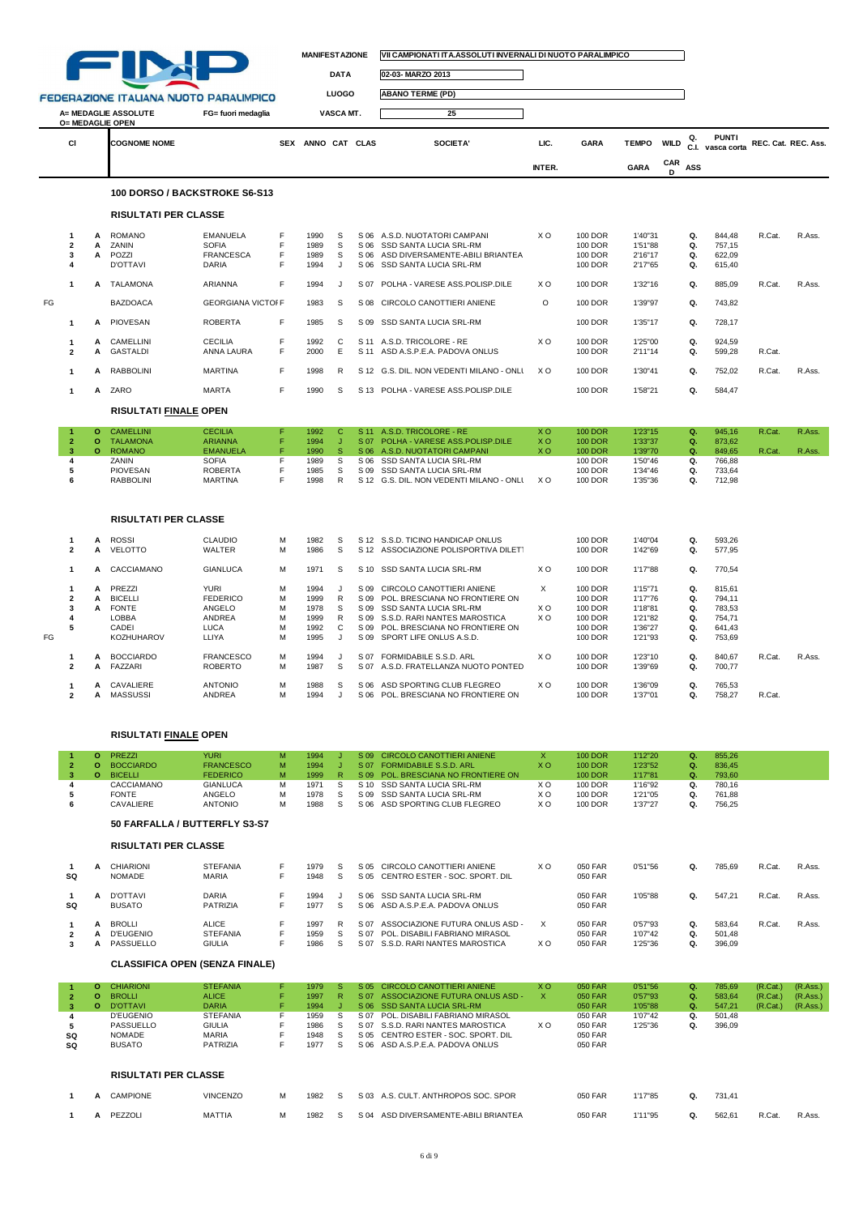

┑

 $\Box$ 

┓

**DATA 02-03- MARZO 2013**

FEDERAZIONE ITALIANA NUOTO PARALIMPICO

**A= MEDAGLIE ASSOLUTE FG= fuori medaglia VASCA MT. 25 O= MEDAGLIE OPEN**



| CI. | <b>COGNOME NOME</b>           | <b>SEX</b> | ANNO CAT | <b>CLAS</b> | <b>SOCIETA'</b> | LIC.   | GARA | <b>TEMPO</b> | WILD $\overline{C}$ . | Q.         | <b>PUNTI</b><br>vasca corta | REC. Cat. REC. Ass. |
|-----|-------------------------------|------------|----------|-------------|-----------------|--------|------|--------------|-----------------------|------------|-----------------------------|---------------------|
|     |                               |            |          |             |                 | INTER. |      | GARA         | CAR                   | <b>ASS</b> |                             |                     |
|     | 100 DORSO / BACKSTROKE S6-S13 |            |          |             |                 |        |      |              |                       |            |                             |                     |

#### **RISULTATI PER CLASSE**

|    | $\overline{2}$<br>3<br>4 | А<br>А<br>А | <b>ROMANO</b><br>ZANIN<br>POZZI<br>D'OTTAVI | EMANUELA<br><b>SOFIA</b><br><b>FRANCESCA</b><br><b>DARIA</b> | F.<br>F | 1990<br>1989<br>1989<br>1994 | S<br>S<br>S | S 06<br>S 06<br>S 06 | S 06 A.S.D. NUOTATORI CAMPANI<br>SSD SANTA LUCIA SRL-RM<br>ASD DIVERSAMENTE-ABILI BRIANTEA<br>SSD SANTA LUCIA SRL-RM | X O | 100 DOR<br><b>100 DOR</b><br><b>100 DOR</b><br>100 DOR | 1'40"31<br>1'51"88<br>2'16"17<br>2'17"65 | Q.<br>Q.<br>Q.<br>Q. | 844.48<br>757,15<br>622.09<br>615,40 | R.Cat. | R.Ass. |
|----|--------------------------|-------------|---------------------------------------------|--------------------------------------------------------------|---------|------------------------------|-------------|----------------------|----------------------------------------------------------------------------------------------------------------------|-----|--------------------------------------------------------|------------------------------------------|----------------------|--------------------------------------|--------|--------|
|    |                          | A           | TALAMONA                                    | ARIANNA                                                      | F.      | 1994                         |             | S 07                 | POLHA - VARESE ASS.POLISP.DILE                                                                                       | X O | <b>100 DOR</b>                                         | 1'32"16                                  | Q.                   | 885.09                               | R.Cat. | R.Ass. |
| FG |                          |             | <b>BAZDOACA</b>                             | <b>GEORGIANA VICTOFF</b>                                     |         | 1983                         | S           | S 08                 | CIRCOLO CANOTTIERI ANIENE                                                                                            | O   | 100 DOR                                                | 1'39"97                                  | Q.                   | 743,82                               |        |        |
|    |                          | A           | <b>PIOVESAN</b>                             | <b>ROBERTA</b>                                               | F.      | 1985                         | S           | S 09                 | SSD SANTA LUCIA SRL-RM                                                                                               |     | 100 DOR                                                | 1'35"17                                  | Q.                   | 728,17                               |        |        |
|    | $\mathbf{2}$             | A<br>A      | CAMELLINI<br>GASTALDI                       | <b>CECILIA</b><br>ANNA LAURA                                 | Е<br>F. | 1992<br>2000                 | C.<br>E.    | S 11<br>S 11         | A.S.D. TRICOLORE - RE<br>ASD A.S.P.E.A. PADOVA ONLUS                                                                 | X O | 100 DOR<br>100 DOR                                     | 1'25"00<br>2'11"14                       | Q.<br>Q.             | 924,59<br>599.28                     | R.Cat. |        |
|    |                          | A           | <b>RABBOLINI</b>                            | <b>MARTINA</b>                                               | F.      | 1998                         | R           | S 12                 | G.S. DIL. NON VEDENTI MILANO - ONLI                                                                                  | X O | 100 DOR                                                | 1'30"41                                  | Q.                   | 752.02                               | R.Cat. | R.Ass. |
|    |                          | А           | ZARO                                        | <b>MARTA</b>                                                 |         | 1990                         | S           | S 13                 | POLHA - VARESE ASS POLISP DILE                                                                                       |     | <b>100 DOR</b>                                         | 1'58"21                                  | Q.                   | 584.47                               |        |        |

## **RISULTATI FINALE OPEN**

| O. | CAMELLINI        | <b>CECILIA</b>  | 1992 |       | S 11 A.S.D. TRICOLORE - RE               | xο | 100 DOR | 1'23"15 | 945.16 | R.Cat  | R.Ass. |
|----|------------------|-----------------|------|-------|------------------------------------------|----|---------|---------|--------|--------|--------|
| O. | <b>TALAMONA</b>  | <b>ARIANNA</b>  | 1994 | S 07. | POLHA - VARESE ASS.POLISP.DILE           | xο | 100 DOR | 1'33"37 | 873.62 |        |        |
|    | <b>ROMANO</b>    | <b>EMANUELA</b> | 1990 |       | S.06 A.S.D. NUOTATORI CAMPANI            | xο | 100 DOR | 1'39"70 | 849.65 | R.Cat. | R.Ass. |
|    | ZANIN            | SOFIA           | 1989 |       | S 06 SSD SANTA LUCIA SRL-RM              |    | 100 DOR | 1'50"46 | 766.88 |        |        |
|    | <b>PIOVESAN</b>  | <b>ROBERTA</b>  | 1985 | S 09  | SSD SANTA LUCIA SRL-RM                   |    | 100 DOR | 1'34"46 | 733.64 |        |        |
|    | <b>RABBOLINI</b> | <b>MARTINA</b>  | 1998 |       | S 12 G.S. DIL. NON VEDENTI MILANO - ONLI |    | 100 DOR | 1'35"36 | 712.98 |        |        |

#### **RISULTATI PER CLASSE**

|    |                | A | <b>ROSSI</b>      | <b>CLAUDIO</b>   | м | 1982 | S       | S 12 | S.S.D. TICINO HANDICAP ONLUS     |                | 100 DOR | 1'40"04 | Q. | 593,26 |        |        |
|----|----------------|---|-------------------|------------------|---|------|---------|------|----------------------------------|----------------|---------|---------|----|--------|--------|--------|
|    | 2              |   | A VELOTTO         | WALTER           | м | 1986 | S       | S 12 | ASSOCIAZIONE POLISPORTIVA DILETT |                | 100 DOR | 1'42"69 | Q. | 577,95 |        |        |
|    |                |   | A CACCIAMANO      | <b>GIANLUCA</b>  | м | 1971 | S.      | S 10 | SSD SANTA LUCIA SRL-RM           | X O            | 100 DOR | 1'17"88 | Q. | 770.54 |        |        |
|    |                | A | PREZZI            | <b>YURI</b>      | м | 1994 | $\cdot$ | S 09 | CIRCOLO CANOTTIERI ANIENE        | X              | 100 DOR | 1'15"71 | Q. | 815,61 |        |        |
|    | $\overline{2}$ | A | <b>BICELLI</b>    | <b>FEDERICO</b>  | м | 1999 | R       | S 09 | POL. BRESCIANA NO FRONTIERE ON   |                | 100 DOR | 1'17"76 | Q. | 794,11 |        |        |
|    | 3              | А | <b>FONTE</b>      | ANGELO           | м | 1978 | S       | S 09 | SSD SANTA LUCIA SRL-RM           | X O            | 100 DOR | 1'18"81 | Q. | 783,53 |        |        |
|    |                |   | LOBBA             | ANDREA           | м | 1999 | R       | S 09 | S.S.D. RARI NANTES MAROSTICA     | X <sub>O</sub> | 100 DOR | 1'21"82 | Q. | 754,71 |        |        |
|    | 5              |   | CADEI             | LUCA             | м | 1992 | C.      | S 09 | POL. BRESCIANA NO FRONTIERE ON   |                | 100 DOR | 1'36"27 | Q. | 641,43 |        |        |
| FG |                |   | <b>KOZHUHAROV</b> | LLIYA            | М | 1995 | J.      | S 09 | SPORT LIFE ONLUS A.S.D.          |                | 100 DOR | 1'21"93 | Q. | 753,69 |        |        |
|    |                | A | <b>BOCCIARDO</b>  | <b>FRANCESCO</b> | м | 1994 | J.      | S 07 | FORMIDABILE S.S.D. ARL           | X O            | 100 DOR | 1'23"10 | Q. | 840.67 | R.Cat. | R.Ass. |
|    | $\overline{2}$ | А | FAZZARI           | <b>ROBERTO</b>   | м | 1987 | S       | S 07 | A.S.D. FRATELLANZA NUOTO PONTED  |                | 100 DOR | 1'39"69 | Q. | 700,77 |        |        |
|    |                | А | CAVALIERE         | <b>ANTONIO</b>   | м | 1988 | S       | S 06 | ASD SPORTING CLUB FLEGREO        | X O            | 100 DOR | 1'36"09 | Q. | 765,53 |        |        |
|    | 2              | А | <b>MASSUSSI</b>   | ANDREA           | М | 1994 |         | S 06 | POL. BRESCIANA NO FRONTIERE ON   |                | 100 DOR | 1'37"01 | Q. | 758.27 | R.Cat. |        |

# **RISULTATI FINALE OPEN**

|                   | $\circ$     | <b>PREZZI</b>                                  | <b>YURI</b>                                      | M           | 1994                 |             | S 09                 | <b>CIRCOLO CANOTTIERI ANIENE</b>                                                                 | X.       | <b>100 DOR</b>                | 1'12"20                       | Q.             | 855.26                     |        |        |
|-------------------|-------------|------------------------------------------------|--------------------------------------------------|-------------|----------------------|-------------|----------------------|--------------------------------------------------------------------------------------------------|----------|-------------------------------|-------------------------------|----------------|----------------------------|--------|--------|
|                   | 0           | <b>BOCCIARDO</b>                               | <b>FRANCESCO</b>                                 | м           | 1994                 |             | S 07                 | <b>FORMIDABILE S.S.D. ARL</b>                                                                    | X O      | $100$ DOR                     | 1'23"52                       | Q.             | 836,45                     |        |        |
| з.                | $\circ$     | <b>BICELLI</b>                                 | <b>FEDERICO</b>                                  | м           | 1999                 | R           | S 09                 | POL. BRESCIANA NO FRONTIERE ON                                                                   |          | <b>100 DOR</b>                | 1'17"81                       | Ο.             | 793.60                     |        |        |
| 4                 |             | CACCIAMANO                                     | <b>GIANLUCA</b>                                  | м           | 1971                 | S           | S 10                 | <b>SSD SANTA LUCIA SRL-RM</b>                                                                    | X O      | 100 DOR                       | 1'16"92                       | Q.             | 780.16                     |        |        |
| 5                 |             | <b>FONTE</b>                                   | ANGELO                                           | м           | 1978                 | S           | S 09                 | <b>SSD SANTA LUCIA SRL-RM</b>                                                                    | X O      | 100 DOR                       | 1'21"05                       | Q.             | 761.88                     |        |        |
| 6                 |             | CAVALIERE                                      | <b>ANTONIO</b>                                   | M           | 1988                 | S           | S 06                 | ASD SPORTING CLUB FLEGREO                                                                        | X O      | 100 DOR                       | 1'37"27                       | Q.             | 756,25                     |        |        |
|                   |             | 50 FARFALLA / BUTTERFLY S3-S7                  |                                                  |             |                      |             |                      |                                                                                                  |          |                               |                               |                |                            |        |        |
|                   |             | <b>RISULTATI PER CLASSE</b>                    |                                                  |             |                      |             |                      |                                                                                                  |          |                               |                               |                |                            |        |        |
| SQ                | A           | CHIARIONI<br><b>NOMADE</b>                     | <b>STEFANIA</b><br><b>MARIA</b>                  | F.<br>F     | 1979<br>1948         | S.<br>S     | S 05                 | CIRCOLO CANOTTIERI ANIENE<br>S 05 CENTRO ESTER - SOC. SPORT, DIL                                 | X O      | 050 FAR<br>050 FAR            | 0'51"56                       | Q.             | 785,69                     | R.Cat. | R.Ass. |
| <b>SQ</b>         | A           | D'OTTAVI<br><b>BUSATO</b>                      | DARIA<br>PATRIZIA                                | F.<br>F.    | 1994<br>1977         | S           | S 06<br>S 06         | SSD SANTA LUCIA SRL-RM<br>ASD A.S.P.E.A. PADOVA ONLUS                                            |          | 050 FAR<br>050 FAR            | 1'05"88                       | Q.             | 547.21                     | R.Cat. | R.Ass. |
| $\mathbf{2}$<br>3 | А<br>А<br>А | <b>BROLLI</b><br><b>D'EUGENIO</b><br>PASSUELLO | <b>ALICE</b><br><b>STEFANIA</b><br><b>GIULIA</b> | F<br>F<br>F | 1997<br>1959<br>1986 | R<br>S<br>S | S 07<br>S 07<br>S 07 | ASSOCIAZIONE FUTURA ONLUS ASD-<br>POL. DISABILI FABRIANO MIRASOL<br>S.S.D. RARI NANTES MAROSTICA | x<br>X O | 050 FAR<br>050 FAR<br>050 FAR | 0'57"93<br>1'07"42<br>1'25"36 | Q.<br>Q.<br>Q. | 583.64<br>501.48<br>396,09 | R.Cat. | R.Ass. |

#### **CLASSIFICA OPEN (SENZA FINALE)**

|              | $\circ$ | <b>CHIARIONI</b>            | <b>STEFANIA</b> | F. | 1979 | s | S 05 | <b>CIRCOLO CANOTTIERI ANIENE</b> | XO. | 050 FAR | 0'51"56 | О. | 785.69 | (R.Cat.) | (R.Ass.) |
|--------------|---------|-----------------------------|-----------------|----|------|---|------|----------------------------------|-----|---------|---------|----|--------|----------|----------|
| $\mathbf{2}$ | 0       | <b>BROLLI</b>               | <b>ALICE</b>    | F  | 1997 | R | S 07 | ASSOCIAZIONE FUTURA ONLUS ASD -  | x.  | 050 FAR | 0'57"93 | Q. | 583.64 | (R.Cat.) | (R.Ass.) |
| з.           | 0       | <b>D'OTTAVI</b>             | <b>DARIA</b>    | F  | 1994 |   |      | S.06 SSD SANTA LUCIA SRL-RM      |     | 050 FAR | 1'05"88 | Q. | 547.21 | (R.Cat.) | (R.Ass.) |
| 4            |         | <b>D'EUGENIO</b>            | <b>STEFANIA</b> | F. | 1959 | S | S 07 | POL. DISABILI FABRIANO MIRASOL   |     | 050 FAR | 1'07"42 | Q. | 501.48 |          |          |
| 5            |         | PASSUELLO                   | <b>GIULIA</b>   | F  | 1986 | S | S 07 | S.S.D. RARI NANTES MAROSTICA     | xο  | 050 FAR | 1'25"36 | Q. | 396,09 |          |          |
| SQ           |         | NOMADE                      | <b>MARIA</b>    | F. | 1948 | S | S 05 | CENTRO ESTER - SOC. SPORT. DIL   |     | 050 FAR |         |    |        |          |          |
| SQ           |         | <b>BUSATO</b>               | <b>PATRIZIA</b> | F. | 1977 | S | S 06 | ASD A.S.P.E.A. PADOVA ONLUS      |     | 050 FAR |         |    |        |          |          |
|              |         |                             |                 |    |      |   |      |                                  |     |         |         |    |        |          |          |
|              |         | <b>RISULTATI PER CLASSE</b> |                 |    |      |   |      |                                  |     |         |         |    |        |          |          |
|              | A       | CAMPIONE                    | <b>VINCENZO</b> | м  | 1982 | S | S 03 | A.S. CULT. ANTHROPOS SOC. SPOR   |     | 050 FAR | 1'17"85 | Q. | 731.41 |          |          |
|              | А       | PEZZOLI                     | <b>MATTIA</b>   | м  | 1982 | S | S 04 | ASD DIVERSAMENTE-ABILI BRIANTEA  |     | 050 FAR | 1'11"95 | Ο. | 562.61 | R.Cat.   | R.Ass.   |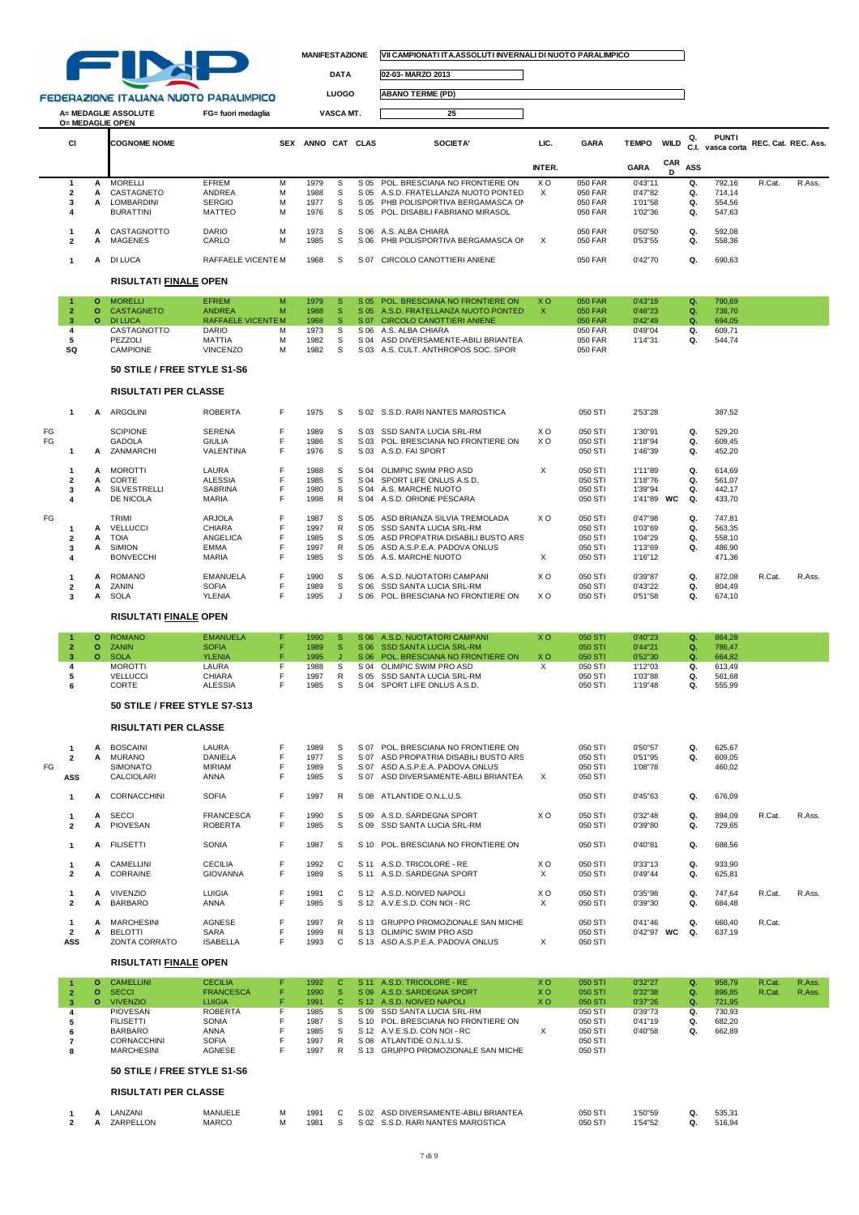

| <b>MANIFESTAZIONE</b> | VII CAMPIONATI ITA ASSOLUTI INVERNALI DI NUOTO PARALIMPICO |
|-----------------------|------------------------------------------------------------|
|                       |                                                            |

┑

┑

**DATA 02-03- MARZO 2013**

**LUOGO ABANO TERME (PD)**

FEDERAZIONE ITALIANA NUOTO PARALIMPICO

**A= MEDAGLIE ASSOLUTE FG= fuori medaglia VASCA MT. 25 O= MEDAGLIE OPEN**

| CI |   | <b>COGNOME NOME</b> |                    | <b>SEX</b> | <b>ANNO</b> |   | CAT CLAS | <b>SOCIETA'</b>                 | LIC.                      | <b>GARA</b> | <b>TEMPO</b> | <b>WILD</b> | Q.  | <b>PUNTI</b><br>vasca corta | REC. Cat. REC. Ass. |        |
|----|---|---------------------|--------------------|------------|-------------|---|----------|---------------------------------|---------------------------|-------------|--------------|-------------|-----|-----------------------------|---------------------|--------|
|    |   |                     |                    |            |             |   |          |                                 | INTER.                    |             | <b>GARA</b>  | CAR         | ASS |                             |                     |        |
|    |   | <b>MORELLI</b>      | EFREM              | м          | 1979        |   | S 05     | POL. BRESCIANA NO FRONTIERE ON  | X <sub>O</sub>            | 050 FAR     | 0'43"11      |             | Q.  | 792.16                      | R.Cat.              | R.Ass. |
|    | А | CASTAGNETO          | ANDREA             | м          | 1988        | S | S 05     | A.S.D. FRATELLANZA NUOTO PONTED | X                         | 050 FAR     | 0'47"82      |             | Q.  | 714.14                      |                     |        |
|    | А | <b>LOMBARDINI</b>   | <b>SERGIO</b>      | M          | 1977        | S | S 05     | PHB POLISPORTIVA BERGAMASCA OF  |                           | 050 FAR     | 1'01"58      |             | Q.  | 554,56                      |                     |        |
|    |   | <b>BURATTINI</b>    | MATTEO             | M          | 1976        | S | S 05     | POL. DISABILI FABRIANO MIRASOL  |                           | 050 FAR     | 1'02"36      |             | Q.  | 547.63                      |                     |        |
|    | А | CASTAGNOTTO         | <b>DARIO</b>       | м          | 1973        | S | S 06     | A.S. ALBA CHIARA                |                           | 050 FAR     | 0'50"50      |             | Q.  | 592,08                      |                     |        |
|    | А | <b>MAGENES</b>      | CARLO              | M          | 1985        | S | S 06     | PHB POLISPORTIVA BERGAMASCA OF  | $\boldsymbol{\mathsf{x}}$ | 050 FAR     | 0'53"55      |             | Q.  | 558,36                      |                     |        |
|    |   | DI LUCA             | RAFFAELE VICENTE M |            | 1968        |   |          | CIRCOLO CANOTTIERI ANIENE       |                           | 050 FAR     | 0'42"70      |             | Q.  | 690,63                      |                     |        |

# **RISULTATI FINALE OPEN**

|    | <b>MORELLI</b><br>0 | <b>EFREM</b>             | м | 1979 S      |  | S 05 POL. BRESCIANA NO FRONTIERE ON  | X <sub>O</sub> | 050 FAR | 0'43"19  | Ο. | 790.69 |
|----|---------------------|--------------------------|---|-------------|--|--------------------------------------|----------------|---------|----------|----|--------|
|    | CASTAGNETO          | ANDREA                   |   | 1988.       |  | S 05 A.S.D. FRATELLANZA NUOTO PONTED |                | 050 FAR | 0'46''23 |    | 738.70 |
|    | DI LUCA.            | <b>RAFFAELE VICENTEM</b> |   | $1968 \t S$ |  | S 07 CIRCOLO CANOTTIERI ANIENE       |                | 050 FAR | 0'42''49 |    | 694.05 |
|    | CASTAGNOTTO         | <b>DARIO</b>             |   | 1973        |  | S 06 A.S. ALBA CHIARA                |                | 050 FAR | 0'49"04  |    | 609.71 |
|    | PEZZOLI             | <b>MATTIA</b>            | м | 1982        |  | S 04 ASD DIVERSAMENTE-ABILI BRIANTEA |                | 050 FAR | 1'14"31  |    | 544.74 |
| SQ | CAMPIONE            | <b>VINCENZO</b>          | м | 1982        |  | S 03 A.S. CULT, ANTHROPOS SOC, SPOR  |                | 050 FAR |          |    |        |

#### **50 STILE / FREE STYLE S1-S6**

## **RISULTATI PER CLASSE**

|     |                       | A | <b>ARGOLINI</b>  | <b>ROBERTA</b>  | F. | 1975 | S  |      | S 02 S.S.D. RARI NANTES MAROSTICA |                | 050 STI | 2'53"28       |    | 387,52 |        |        |
|-----|-----------------------|---|------------------|-----------------|----|------|----|------|-----------------------------------|----------------|---------|---------------|----|--------|--------|--------|
| FG  |                       |   | <b>SCIPIONE</b>  | <b>SERENA</b>   | F. | 1989 | s  | S 03 | SSD SANTA LUCIA SRL-RM            | X O            | 050 STI | 1'30"91       | Q. | 529,20 |        |        |
| FG  |                       |   | <b>GADOLA</b>    | <b>GIULIA</b>   |    | 1986 | s  | S 03 | POL. BRESCIANA NO FRONTIERE ON    | X O            | 050 STI | 1'18"94       | Q. | 609,45 |        |        |
|     |                       | А | ZANMARCHI        | VALENTINA       | F. | 1976 | S. |      | S 03 A.S.D. FAI SPORT             |                | 050 STI | 1'46"39       | Q. | 452,20 |        |        |
|     |                       | A | <b>MOROTTI</b>   | LAURA           |    | 1988 | s  | S 04 | OLIMPIC SWIM PRO ASD              | X              | 050 STI | 1'11"89       | Q. | 614,69 |        |        |
|     | $\overline{2}$        | A | <b>CORTE</b>     | <b>ALESSIA</b>  |    | 1985 | s  | S 04 | SPORT LIFE ONLUS A.S.D.           |                | 050 STI | 1'18"76       | Q. | 561,07 |        |        |
|     | 3                     | A | SILVESTRELLI     | <b>SABRINA</b>  |    | 1980 | s  | S 04 | A.S. MARCHE NUOTO                 |                | 050 STI | 1'39"94       | Q. | 442,17 |        |        |
|     | $\boldsymbol{\Delta}$ |   | DE NICOLA        | <b>MARIA</b>    |    | 1998 | R  |      | S 04 A.S.D. ORIONE PESCARA        |                | 050 STI | WC<br>1'41"89 | Ο. | 433.70 |        |        |
| FG. |                       |   | TRIMI            | <b>ARJOLA</b>   | F. | 1987 | S. | S 05 | ASD BRIANZA SILVIA TREMOLADA      | X <sub>O</sub> | 050 STI | 0'47"98       | Q. | 747.81 |        |        |
|     |                       | A | <b>VELLUCCI</b>  | <b>CHIARA</b>   |    | 1997 | R  | S 05 | <b>SSD SANTA LUCIA SRL-RM</b>     |                | 050 STI | 1'03"69       | Q. | 563,35 |        |        |
|     | $\overline{2}$        | A | <b>TOIA</b>      | <b>ANGELICA</b> |    | 1985 | S  | S 05 | ASD PROPATRIA DISABILI BUSTO ARS  |                | 050 STI | 1'04"29       | Q. | 558,10 |        |        |
|     | 3                     | A | <b>SIMION</b>    | <b>EMMA</b>     |    | 1997 | R  | S 05 | ASD A.S.P.E.A. PADOVA ONLUS       |                | 050 STI | 1'13"69       | Q. | 486,90 |        |        |
|     |                       |   | <b>BONVECCHI</b> | <b>MARIA</b>    |    | 1985 | S. |      | S 05 A.S. MARCHE NUOTO            | X              | 050 STI | 1'16"12       |    | 471,36 |        |        |
|     |                       | A | <b>ROMANO</b>    | <b>EMANUELA</b> | F. | 1990 | S. | S 06 | A.S.D. NUOTATORI CAMPANI          | X O            | 050 STI | 0'39"87       | Q. | 872,08 | R.Cat. | R.Ass. |
|     |                       | A | ZANIN            | <b>SOFIA</b>    |    | 1989 | S  | S 06 | <b>SSD SANTA LUCIA SRL-RM</b>     |                | 050 STI | 0'43"22       | Q. | 804,49 |        |        |
|     | 3                     | А | SOLA             | <b>YLENIA</b>   |    | 1995 |    | S 06 | POL. BRESCIANA NO FRONTIERE ON    | X O            | 050 STI | 0'51"58       | Q. | 674.10 |        |        |

## **RISULTATI FINALE OPEN**

|  | <b>ROMANO</b>   | <b>EMANUELA</b> | 1990 |      | S.06 A.S.D. NUOTATORI CAMPANI       | X <sub>O</sub> | 050 STI | 0'40"23  | Q. | 864.28 |
|--|-----------------|-----------------|------|------|-------------------------------------|----------------|---------|----------|----|--------|
|  | <b>ZANIN</b>    | <b>SOFIA</b>    | 1989 |      | S 06 SSD SANTA LUCIA SRL-RM         |                | 050 STI | 0'44''21 | Q. | 786.47 |
|  | <b>SOLA</b>     | <b>YLENIA</b>   | 1995 |      | S.06 POL. BRESCIANA NO FRONTIERE ON | <b>XO</b>      | 050 STI | 0'52"30  | Ο. | 664.82 |
|  | MOROTT          | LAURA           | 1988 | S 04 | OLIMPIC SWIM PRO ASD                |                | 050 ST  | 1'12"03  |    | 613.49 |
|  | <b>VELLUCCI</b> | CHIARA          | 1997 | S 05 | SSD SANTA LUCIA SRL-RM              |                | 050 ST  | 1'03"88  |    | 561.68 |
|  | CORTE           | <b>ALESSIA</b>  | 1985 | S 04 | SPORT LIFE ONLUS A.S.D.             |                | 050 ST  | 1'19"48  | Ο. | 555.99 |

# **50 STILE / FREE STYLE S7-S13**

#### **RISULTATI PER CLASSE**

| FG. | $\overline{2}$<br><b>ASS</b> | А<br>A | <b>BOSCAINI</b><br><b>MURANO</b><br><b>SIMONATO</b><br><b>CALCIOLARI</b> | LAURA<br>DANIELA<br><b>MIRIAM</b><br>ANNA       | F<br>F.  | 1989<br>1977<br>1989<br>1985 | S.<br>S<br>S<br>S | S 07<br>S 07<br>S 07<br>S 07 | POL. BRESCIANA NO FRONTIERE ON<br>ASD PROPATRIA DISABILI BUSTO ARS<br>ASD A.S.P.E.A. PADOVA ONLUS<br>ASD DIVERSAMENTE-ABILI BRIANTEA | X        | 050 STI<br>050 STI<br>050 STI<br>050 STI | 0'50"57<br>0'51"95<br>1'08"78 |    | Q.<br>Q. | 625,67<br>609,05<br>460,02 |        |        |
|-----|------------------------------|--------|--------------------------------------------------------------------------|-------------------------------------------------|----------|------------------------------|-------------------|------------------------------|--------------------------------------------------------------------------------------------------------------------------------------|----------|------------------------------------------|-------------------------------|----|----------|----------------------------|--------|--------|
|     |                              | А      | <b>CORNACCHINI</b>                                                       | <b>SOFIA</b>                                    | F.       | 1997                         | R                 | S 08                         | ATLANTIDE O.N.L.U.S.                                                                                                                 |          | 050 STI                                  | 0'45"63                       |    | Q.       | 676,09                     |        |        |
|     | $\mathbf{2}$                 | A      | SECCI<br>A PIOVESAN                                                      | <b>FRANCESCA</b><br><b>ROBERTA</b>              | F.<br>F. | 1990<br>1985                 | S<br>S            | S 09<br>S 09                 | A.S.D. SARDEGNA SPORT<br><b>SSD SANTA LUCIA SRL-RM</b>                                                                               | X O      | 050 STI<br>050 STI                       | 0'32"48<br>0'39"80            |    | Q.<br>Q. | 894,09<br>729,65           | R.Cat. | R.Ass. |
|     |                              |        | A FILISETTI                                                              | SONIA                                           | F.       | 1987                         | S.                |                              | S 10 POL, BRESCIANA NO FRONTIERE ON                                                                                                  |          | 050 STI                                  | 0'40"81                       |    | Q.       | 688,56                     |        |        |
|     | 2                            | А<br>A | CAMELLINI<br>CORRAINE                                                    | <b>CECILIA</b><br><b>GIOVANNA</b>               | F.<br>F. | 1992<br>1989                 | C<br>S            |                              | S 11 A.S.D. TRICOLORE - RE<br>S 11 A.S.D. SARDEGNA SPORT                                                                             | X O<br>X | 050 STI<br>050 STI                       | 0'33"13<br>0'49"44            |    | Q.<br>Q. | 933,90<br>625,81           |        |        |
|     | $\mathcal{P}$                | A<br>А | <b>VIVENZIO</b><br><b>BARBARO</b>                                        | <b>LUIGIA</b><br>ANNA                           |          | 1991<br>1985                 | C.<br>S           |                              | S 12 A.S.D. NOIVED NAPOLI<br>S 12 A.V.E.S.D. CON NOI - RC                                                                            | X O<br>X | 050 STI<br>050 STI                       | 0'35"98<br>0'39"30            |    | Q.<br>Q. | 747,64<br>684,48           | R.Cat. | R.Ass. |
|     | $\overline{2}$<br><b>ASS</b> | A<br>А | <b>MARCHESINI</b><br><b>BELOTTI</b><br>ZONTA CORRATO                     | <b>AGNESE</b><br><b>SARA</b><br><b>ISABELLA</b> | F.       | 1997<br>1999<br>1993         | R<br>R            | S 13<br>S 13                 | GRUPPO PROMOZIONALE SAN MICHE<br>OLIMPIC SWIM PRO ASD<br>S 13 ASD A.S.P.E.A. PADOVA ONLUS                                            | x        | 050 STI<br>050 STI<br>050 STI            | 0'41''46<br>0'42"97           | WC | Q.<br>Q. | 660,40<br>637,19           | R.Cat. |        |

# **RISULTATI FINALE OPEN**

|   | О. | <b>CAMELLINI</b>  | <b>CECILIA</b>   | 1992 | S 11 | A.S.D. TRICOLORE - RE               | XO. | 050 STI | 0'32"27 | Ο. | 958.79 | R.Cat. | R.Ass. |
|---|----|-------------------|------------------|------|------|-------------------------------------|-----|---------|---------|----|--------|--------|--------|
|   |    | <b>SECCI</b>      | <b>FRANCESCA</b> | 1990 |      | S 09 A.S.D. SARDEGNA SPORT          | XO. | 050 STI | 0'32"38 | Ο. | 896.85 | R.Cat. | R.Ass. |
|   |    | <b>VIVENZIO</b>   | <b>LUIGIA</b>    | 1991 |      | S 12 A.S.D. NOIVED NAPOLI           | XO. | 050 STI | 0'37"26 | Ο. | 721.95 |        |        |
|   |    | PIOVESAN          | <b>ROBERTA</b>   | 1985 |      | S 09 SSD SANTA LUCIA SRL-RM         |     | 050 STI | 0'39"73 | Q. | 730.93 |        |        |
| 5 |    | <b>FILISETTI</b>  | <b>SONIA</b>     | 1987 |      | S 10 POL. BRESCIANA NO FRONTIERE ON |     | 050 STI | 0'41"19 | Ο. | 682.20 |        |        |
| 6 |    | BARBARO           | ANNA             | 1985 |      | S 12 A.V.E.S.D. CON NOI - RC        |     | 050 STI | 0'40"58 |    | 662.89 |        |        |
|   |    | CORNACCHINI       | <b>SOFIA</b>     | 1997 |      | S 08 ATLANTIDE O.N.L.U.S.           |     | 050 STI |         |    |        |        |        |
| 8 |    | <b>MARCHESINI</b> | <b>AGNESE</b>    | 1997 |      | S 13 GRUPPO PROMOZIONALE SAN MICHE  |     | 050 STI |         |    |        |        |        |
|   |    |                   |                  |      |      |                                     |     |         |         |    |        |        |        |

# **50 STILE / FREE STYLE S1-S6**

|        |                            | IFI             | м | 1991 | 97.         | DIVERSAMENTE-ABILI BRIANTEA<br>ח 2 מ | 050 ST      | '50"59 | 535.3 |
|--------|----------------------------|-----------------|---|------|-------------|--------------------------------------|-------------|--------|-------|
| $\sim$ | <b>ON</b><br>$7\Delta$ RPF | $\Delta$<br>ARU | м | 1981 | מ ה<br>____ | MAROSTICA<br>$\mu$ RARINANT"         | 050 ST<br>. | 54"52  | 516.1 |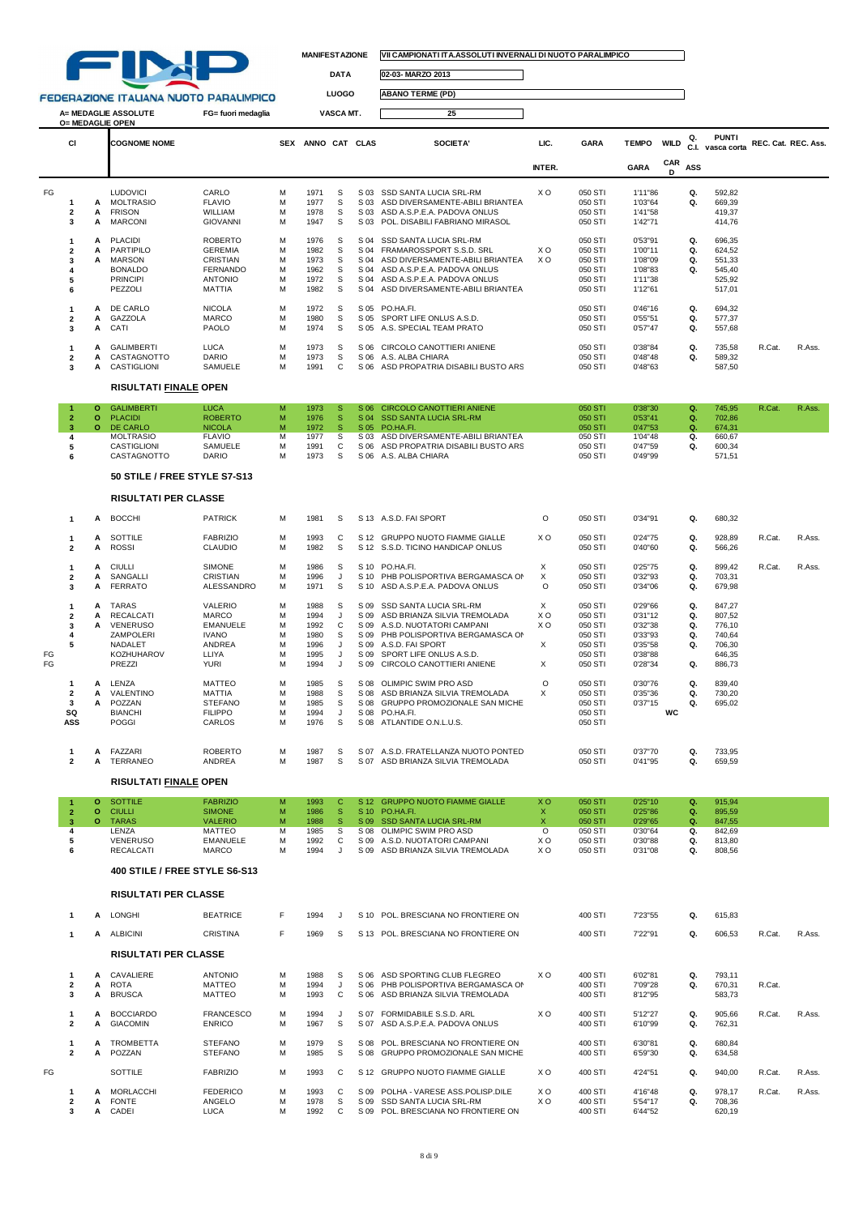

┑

**FEDERAZIONE ITALIANA NUOTO PARALIMPICO** 

**LUOGO ABANO TERME (PD)**

 $\Box$ **A= MEDAGLIE ASSOLUTE FG= fuori medaglia VASCA MT. 25 O= MEDAGLIE OPEN**

**DATA 02-03- MARZO 2013**

|           | <b>CI</b> |   | <b>COGNOME NOME</b> |                 | <b>SEX</b> | ANNO CAT CLAS |   |      | <b>SOCIETA'</b>                  | LIC.           | GARA    | <b>TEMPO</b> | <b>WILD</b> | Q.<br>C.I. | <b>PUNTI</b><br>vasca corta | REC. Cat. REC. Ass. |        |
|-----------|-----------|---|---------------------|-----------------|------------|---------------|---|------|----------------------------------|----------------|---------|--------------|-------------|------------|-----------------------------|---------------------|--------|
|           |           |   |                     |                 |            |               |   |      |                                  | INTER.         |         | <b>GARA</b>  | CAR<br>D.   | <b>ASS</b> |                             |                     |        |
| <b>FG</b> |           |   | <b>LUDOVICI</b>     | CARLO           | M          | 1971          | S | S 03 | SSD SANTA LUCIA SRL-RM           | X <sub>O</sub> | 050 STI | 1'11"86      |             | Q.         | 592,82                      |                     |        |
|           |           | A | <b>MOLTRASIO</b>    | <b>FLAVIO</b>   | M          | 1977          | S | S 03 | ASD DIVERSAMENTE-ABILI BRIANTEA  |                | 050 STI | 1'03"64      |             | Q.         | 669,39                      |                     |        |
|           |           | А | <b>FRISON</b>       | <b>WILLIAM</b>  | м          | 1978          | S | S 03 | ASD A.S.P.E.A. PADOVA ONLUS      |                | 050 STI | 1'41"58      |             |            | 419,37                      |                     |        |
|           | 3         | А | <b>MARCONI</b>      | <b>GIOVANNI</b> | м          | 1947          | S | S 03 | POL. DISABILI FABRIANO MIRASOL   |                | 050 STI | 1'42"71      |             |            | 414,76                      |                     |        |
|           |           |   | A PLACIDI           | <b>ROBERTO</b>  | M          | 1976          | S | S 04 | SSD SANTA LUCIA SRL-RM           |                | 050 STI | 0'53"91      |             | Q.         | 696,35                      |                     |        |
|           |           | А | PARTIPILO           | <b>GEREMIA</b>  | м          | 1982          | S | S 04 | FRAMAROSSPORT S.S.D. SRL         | X O            | 050 STI | 1'00"11      |             | Q.         | 624,52                      |                     |        |
|           |           | А | <b>MARSON</b>       | <b>CRISTIAN</b> | м          | 1973          | S | S 04 | ASD DIVERSAMENTE-ABILI BRIANTEA  | X <sub>O</sub> | 050 STI | 1'08"09      |             | Q.         | 551,33                      |                     |        |
|           |           |   | <b>BONALDO</b>      | <b>FERNANDO</b> | м          | 1962          | S | S 04 | ASD A.S.P.E.A. PADOVA ONLUS      |                | 050 STI | 1'08"83      |             | Q.         | 545,40                      |                     |        |
|           | 5         |   | <b>PRINCIPI</b>     | <b>ANTONIO</b>  | M          | 1972          | S | S 04 | ASD A.S.P.E.A. PADOVA ONLUS      |                | 050 STI | 1'11"38      |             |            | 525,92                      |                     |        |
|           | 6         |   | PEZZOLI             | <b>MATTIA</b>   | M          | 1982          | S | S 04 | ASD DIVERSAMENTE-ABILI BRIANTEA  |                | 050 STI | 1'12"61      |             |            | 517,01                      |                     |        |
|           |           | A | DE CARLO            | <b>NICOLA</b>   | M          | 1972          | S |      | S 05 PO.HA.FI.                   |                | 050 STI | 0'46"16      |             | Q.         | 694,32                      |                     |        |
|           |           | А | GAZZOLA             | <b>MARCO</b>    | м          | 1980          | s | S 05 | SPORT LIFE ONLUS A.S.D.          |                | 050 STI | 0'55"51      |             | Q.         | 577,37                      |                     |        |
|           | 3         | А | CATI                | PAOLO           | M          | 1974          | S |      | S 05 A.S. SPECIAL TEAM PRATO     |                | 050 STI | 0'57"47      |             | Q.         | 557,68                      |                     |        |
|           |           | А | <b>GALIMBERTI</b>   | <b>LUCA</b>     | M          | 1973          | s | S 06 | CIRCOLO CANOTTIERI ANIENE        |                | 050 STI | 0'38"84      |             | Q.         | 735,58                      | R.Cat.              | R.Ass. |
|           |           | А | CASTAGNOTTO         | <b>DARIO</b>    | M          | 1973          | s | S 06 | A.S. ALBA CHIARA                 |                | 050 STI | 0'48"48      |             | Q.         | 589,32                      |                     |        |
|           | 3         | А | CASTIGLIONI         | SAMUELE         | м          | 1991          | С | S 06 | ASD PROPATRIA DISABILI BUSTO ARS |                | 050 STI | 0'48"63      |             |            | 587,50                      |                     |        |

**RISULTATI FINALE OPEN**

| O. | <b>GALIMBERTI</b> | <b>LUCA</b>    | 1973 |      | S.06 CIRCOLO CANOTTIERI ANIENE        | 050 STI | 0'38"30 | 745.95 | R.Cat | R.Ass. |
|----|-------------------|----------------|------|------|---------------------------------------|---------|---------|--------|-------|--------|
|    | <b>PLACIDI</b>    | <b>ROBERTO</b> | 1976 |      | S 04 SSD SANTA LUCIA SRL-RM           | 050 STI | 0'53"41 | 702.86 |       |        |
|    | DE CARLO          | <b>NICOLA</b>  | 1972 |      | $S$ 05 PO.HA.FI.                      | 050 STI | 0'47"53 | 674.31 |       |        |
|    | <b>MOLTRASIO</b>  | <b>FLAVIO</b>  | 1977 |      | S 03 ASD DIVERSAMENTE-ABILI BRIANTEA  | 050 STI | 1'04"48 | 660.67 |       |        |
|    | CASTIGLIONI       | <b>SAMUELE</b> | 1991 |      | S.06 ASD PROPATRIA DISABILI BUSTO ARS | 050 STI | 0'47"59 | 600.34 |       |        |
|    | CASTAGNOTTO       | <b>DARIO</b>   | 1973 | S 06 | A.S. ALBA CHIARA                      | 050 STI | 0'49"99 | 571.51 |       |        |

#### **50 STILE / FREE STYLE S7-S13**

## **RISULTATI PER CLASSE**

|          |                                         |   | A BOCCHI                                                                                       | <b>PATRICK</b>                                                                               | M                               | 1981                                                 | S.                         |                                                      | S 13 A.S.D. FAI SPORT                                                                                                                                                                            | $\circ$                              | 050 STI                                                                   | 0'34"91                                                                   | Q.                               | 680,32                                                             |        |        |
|----------|-----------------------------------------|---|------------------------------------------------------------------------------------------------|----------------------------------------------------------------------------------------------|---------------------------------|------------------------------------------------------|----------------------------|------------------------------------------------------|--------------------------------------------------------------------------------------------------------------------------------------------------------------------------------------------------|--------------------------------------|---------------------------------------------------------------------------|---------------------------------------------------------------------------|----------------------------------|--------------------------------------------------------------------|--------|--------|
|          | $\overline{2}$                          | A | A SOTTILE<br><b>ROSSI</b>                                                                      | <b>FABRIZIO</b><br><b>CLAUDIO</b>                                                            | M<br>M                          | 1993<br>1982                                         | C<br>S                     |                                                      | S 12 GRUPPO NUOTO FIAMME GIALLE<br>S 12 S.S.D. TICINO HANDICAP ONLUS                                                                                                                             | X O                                  | 050 STI<br>050 STI                                                        | 0'24"75<br>0'40"60                                                        | Q.<br>Q.                         | 928,89<br>566,26                                                   | R.Cat. | R.Ass. |
|          | $\mathbf{2}$<br>3                       |   | A CIULLI<br>A SANGALLI<br>A FERRATO                                                            | <b>SIMONE</b><br><b>CRISTIAN</b><br>ALESSANDRO                                               | м<br>M<br>м                     | 1986<br>1996<br>1971                                 | s<br>s                     | S 10                                                 | S 10 PO.HA.FI.<br>PHB POLISPORTIVA BERGAMASCA ON<br>S 10 ASD A.S.P.E.A. PADOVA ONLUS                                                                                                             | X<br>X<br>$\circ$                    | 050 STI<br>050 STI<br>050 STI                                             | 0'25"75<br>0'32"93<br>0'34"06                                             | Q.<br>Q.<br>Q.                   | 899,42<br>703,31<br>679,98                                         | R.Cat. | R.Ass. |
| FG<br>FG | $\overline{\mathbf{2}}$<br>3<br>5       | A | A TARAS<br>RECALCATI<br><b>VENERUSO</b><br>ZAMPOLERI<br>NADALET<br><b>KOZHUHAROV</b><br>PREZZI | VALERIO<br><b>MARCO</b><br><b>EMANUELE</b><br><b>IVANO</b><br>ANDREA<br>LLIYA<br><b>YURI</b> | M<br>M<br>м<br>м<br>м<br>м<br>M | 1988<br>1994<br>1992<br>1980<br>1996<br>1995<br>1994 | S<br>J<br>C<br>s<br>J<br>J | S 09<br>S 09<br>S 09<br>S 09<br>S 09<br>S 09<br>S 09 | SSD SANTA LUCIA SRL-RM<br>ASD BRIANZA SILVIA TREMOLADA<br>A.S.D. NUOTATORI CAMPANI<br>PHB POLISPORTIVA BERGAMASCA OI<br>A.S.D. FAI SPORT<br>SPORT LIFE ONLUS A.S.D.<br>CIRCOLO CANOTTIERI ANIENE | X<br>X <sub>O</sub><br>X O<br>X<br>X | 050 STI<br>050 STI<br>050 STI<br>050 STI<br>050 STI<br>050 STI<br>050 STI | 0'29"66<br>0'31"12<br>0'32"38<br>0'33"93<br>0'35"58<br>0'38"88<br>0'28"34 | Q.<br>Q.<br>Q.<br>Q.<br>Q.<br>Q. | 847,27<br>807,52<br>776,10<br>740,64<br>706,30<br>646,35<br>886,73 |        |        |
|          | $\overline{2}$<br>3<br>SQ<br><b>ASS</b> |   | A LENZA<br>A VALENTINO<br>A POZZAN<br><b>BIANCHI</b><br>POGGI                                  | <b>MATTEO</b><br><b>MATTIA</b><br><b>STEFANO</b><br><b>FILIPPO</b><br>CARLOS                 | M<br>M<br>м<br>м<br>м           | 1985<br>1988<br>1985<br>1994<br>1976                 | S<br>S<br>S<br>J<br>s      | S 08<br>S 08                                         | S 08 OLIMPIC SWIM PRO ASD<br>ASD BRIANZA SILVIA TREMOLADA<br>GRUPPO PROMOZIONALE SAN MICHE<br>S 08 PO.HA.FI.<br>S 08 ATLANTIDE O.N.L.U.S.                                                        | $\Omega$<br>X                        | 050 STI<br>050 STI<br>050 STI<br>050 STI<br>050 STI                       | 0'30"76<br>0'35"36<br>0'37"15<br><b>WC</b>                                | Q.<br>Q.<br>Q.                   | 839,40<br>730,20<br>695,02                                         |        |        |
|          |                                         |   | A FAZZARI                                                                                      | <b>ROBERTO</b>                                                                               | м                               | 1987                                                 | s                          |                                                      | S 07 A.S.D. FRATELLANZA NUOTO PONTED                                                                                                                                                             |                                      | 050 STI                                                                   | 0'37"70                                                                   | Q.                               | 733,95                                                             |        |        |

## **RISULTATI FINALE OPEN**

|  | SOTTILE         | <b>FABRIZIO</b> | 1993 |                 | S 12 GRUPPO NUOTO FIAMME GIALLE | X O          | 050 STI | 0'25"10 | 915.94 |
|--|-----------------|-----------------|------|-----------------|---------------------------------|--------------|---------|---------|--------|
|  | <b>CIULLI</b>   | <b>SIMONE</b>   | 1986 | S <sub>10</sub> | PO.HA.FI.                       |              | 050 STI | 0'25"86 | 895.59 |
|  | <b>TARAS</b>    | <b>VALERIO</b>  | 1988 |                 | S 09 SSD SANTA LUCIA SRL-RM     |              | 050 STI | 0'29"65 | 847.55 |
|  | LENZA           | MATTEO          | 1985 | S 08            | OLIMPIC SWIM PRO ASD            |              | 050 STI | 0'30"64 | 842.69 |
|  | <b>VENERUSO</b> | <b>EMANUELE</b> | 1992 | S 09            | A.S.D. NUOTATORI CAMPANI        | xο           | 050 ST  | 0'30"88 | 813.80 |
|  | RECALCATI       | <b>MARCO</b>    | 1994 | S 09            | ASD BRIANZA SILVIA TREMOLADA    | $X$ $\Omega$ | 050 ST  | 0'31"08 | 808.56 |

**A** TERRANEO ANDREA M 1987 S S 07 ASD BRIANZA SILVIA TREMOLADA 050 STI 0'41"95 **Q.** 659,59

#### **400 STILE / FREE STYLE S6-S13**

|    |                     |   | A LONGHI                    | <b>BEATRICE</b>                | F      | 1994         |              | S 10         | POL. BRESCIANA NO FRONTIERE ON                                 |                | 400 STI            | 7'23"55            | Q. | 615,83           |        |        |
|----|---------------------|---|-----------------------------|--------------------------------|--------|--------------|--------------|--------------|----------------------------------------------------------------|----------------|--------------------|--------------------|----|------------------|--------|--------|
|    |                     |   | A ALBICINI                  | <b>CRISTINA</b>                | F      | 1969         | S.           |              | S 13 POL. BRESCIANA NO FRONTIERE ON                            |                | 400 STI            | 7'22"91            | Q. | 606,53           | R.Cat. | R.Ass. |
|    |                     |   | <b>RISULTATI PER CLASSE</b> |                                |        |              |              |              |                                                                |                |                    |                    |    |                  |        |        |
|    |                     |   | A CAVALIERE                 | <b>ANTONIO</b>                 | м      | 1988         | S.           | S 06         | ASD SPORTING CLUB FLEGREO                                      | $X$ $\Omega$   | 400 STI            | 6'02"81            | Q. | 793,11           |        |        |
|    | $\overline{2}$<br>3 | A | <b>ROTA</b><br>A BRUSCA     | <b>MATTEO</b><br><b>MATTEO</b> | м<br>м | 1994<br>1993 | IJ<br>C.     | S 06<br>S 06 | PHB POLISPORTIVA BERGAMASCA OI<br>ASD BRIANZA SILVIA TREMOLADA |                | 400 STI<br>400 STI | 7'09"28<br>8'12"95 | Q. | 670,31<br>583,73 | R.Cat. |        |
|    |                     |   | A BOCCIARDO                 | <b>FRANCESCO</b>               | м      | 1994         | $\cdot$      | S 07         | FORMIDABILE S.S.D. ARL                                         | X <sub>O</sub> | 400 STI            | 5'12"27            | Q. | 905,66           | R.Cat. | R.Ass. |
|    | $\overline{2}$      |   | A GIACOMIN                  | <b>ENRICO</b>                  | м      | 1967         | S            | S 07         | ASD A.S.P.E.A. PADOVA ONLUS                                    |                | 400 STI            | 6'10"99            | Q. | 762,31           |        |        |
|    |                     | A | <b>TROMBETTA</b>            | <b>STEFANO</b>                 | M      | 1979         | S.           | S 08         | POL. BRESCIANA NO FRONTIERE ON                                 |                | 400 STI            | 6'30"81            | Q. | 680,84           |        |        |
|    | $\mathbf{2}$        | A | POZZAN                      | <b>STEFANO</b>                 | м      | 1985         | S            | S 08         | GRUPPO PROMOZIONALE SAN MICHE                                  |                | 400 STI            | 6'59"30            | Q. | 634,58           |        |        |
| FG |                     |   | SOTTILE                     | <b>FABRIZIO</b>                | м      | 1993         | $\mathbf{C}$ |              | S 12 GRUPPO NUOTO FIAMME GIALLE                                | X O            | 400 STI            | 4'24"51            | Q. | 940,00           | R.Cat. | R.Ass. |
|    |                     |   | A MORLACCHI                 | <b>FEDERICO</b>                | м      | 1993         | C.           | S 09         | POLHA - VARESE ASS POLISP DILE                                 | X O            | 400 STI            | 4'16"48            | Q. | 978,17           | R.Cat. | R.Ass. |
|    | $\overline{2}$      | A | <b>FONTE</b>                | ANGELO                         | м      | 1978         | s            | S 09         | <b>SSD SANTA LUCIA SRL-RM</b>                                  | X <sub>O</sub> | 400 STI            | 5'54"17            | Q. | 708,36           |        |        |
|    | 3                   | А | CADEI                       | <b>LUCA</b>                    | м      | 1992         | C            | S 09         | POL. BRESCIANA NO FRONTIERE ON                                 |                | 400 STI            | 6'44"52            |    | 620,19           |        |        |